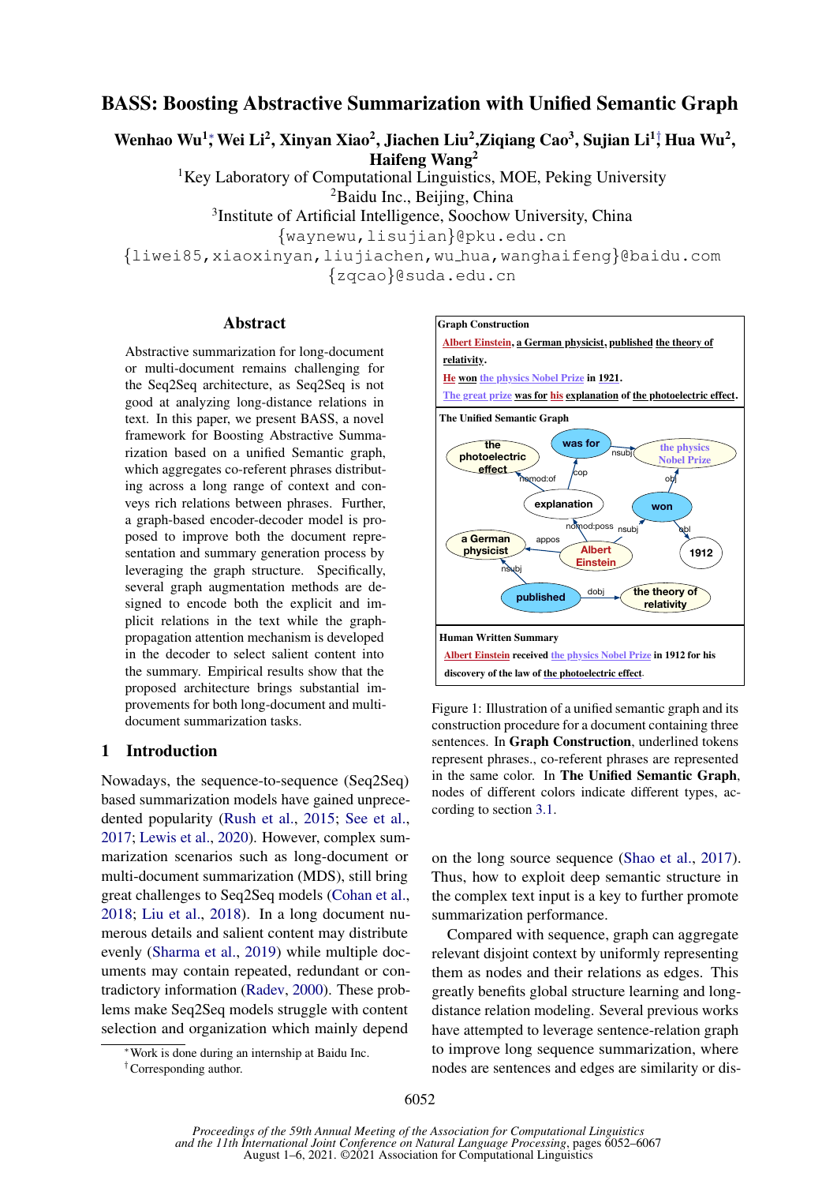# BASS: Boosting Abstractive Summarization with Unified Semantic Graph

Wenhao Wu<sup>1</sup>; Wei Li<sup>2</sup>, Xinyan Xiao<sup>2</sup>, Jiachen Liu<sup>2</sup>,Ziqiang Cao<sup>3</sup>, Sujian Li<sup>1</sup>; Hua Wu<sup>2</sup>,

Haifeng Wang<sup>2</sup>

<sup>1</sup>Key Laboratory of Computational Linguistics, MOE, Peking University

<sup>2</sup>Baidu Inc., Beijing, China

3 Institute of Artificial Intelligence, Soochow University, China

{waynewu,lisujian}@pku.edu.cn

{liwei85,xiaoxinyan,liujiachen,wu hua,wanghaifeng}@baidu.com

{zqcao}@suda.edu.cn

## Abstract

Abstractive summarization for long-document or multi-document remains challenging for the Seq2Seq architecture, as Seq2Seq is not good at analyzing long-distance relations in text. In this paper, we present BASS, a novel framework for Boosting Abstractive Summarization based on a unified Semantic graph, which aggregates co-referent phrases distributing across a long range of context and conveys rich relations between phrases. Further, a graph-based encoder-decoder model is proposed to improve both the document representation and summary generation process by leveraging the graph structure. Specifically, several graph augmentation methods are designed to encode both the explicit and implicit relations in the text while the graphpropagation attention mechanism is developed in the decoder to select salient content into the summary. Empirical results show that the proposed architecture brings substantial improvements for both long-document and multidocument summarization tasks.

# 1 Introduction

Nowadays, the sequence-to-sequence (Seq2Seq) based summarization models have gained unprecedented popularity [\(Rush et al.,](#page-11-0) [2015;](#page-11-0) [See et al.,](#page-11-1) [2017;](#page-11-1) [Lewis et al.,](#page-10-0) [2020\)](#page-10-0). However, complex summarization scenarios such as long-document or multi-document summarization (MDS), still bring great challenges to Seq2Seq models [\(Cohan et al.,](#page-9-0) [2018;](#page-9-0) [Liu et al.,](#page-10-1) [2018\)](#page-10-1). In a long document numerous details and salient content may distribute evenly [\(Sharma et al.,](#page-11-2) [2019\)](#page-11-2) while multiple documents may contain repeated, redundant or contradictory information [\(Radev,](#page-11-3) [2000\)](#page-11-3). These problems make Seq2Seq models struggle with content selection and organization which mainly depend

<span id="page-0-0"></span>

Figure 1: Illustration of a unified semantic graph and its construction procedure for a document containing three sentences. In Graph Construction, underlined tokens represent phrases., co-referent phrases are represented in the same color. In The Unified Semantic Graph, nodes of different colors indicate different types, according to section [3.1.](#page-2-0)

on the long source sequence [\(Shao et al.,](#page-11-4) [2017\)](#page-11-4). Thus, how to exploit deep semantic structure in the complex text input is a key to further promote summarization performance.

Compared with sequence, graph can aggregate relevant disjoint context by uniformly representing them as nodes and their relations as edges. This greatly benefits global structure learning and longdistance relation modeling. Several previous works have attempted to leverage sentence-relation graph to improve long sequence summarization, where nodes are sentences and edges are similarity or dis-

<sup>∗</sup>Work is done during an internship at Baidu Inc.

<sup>†</sup>Corresponding author.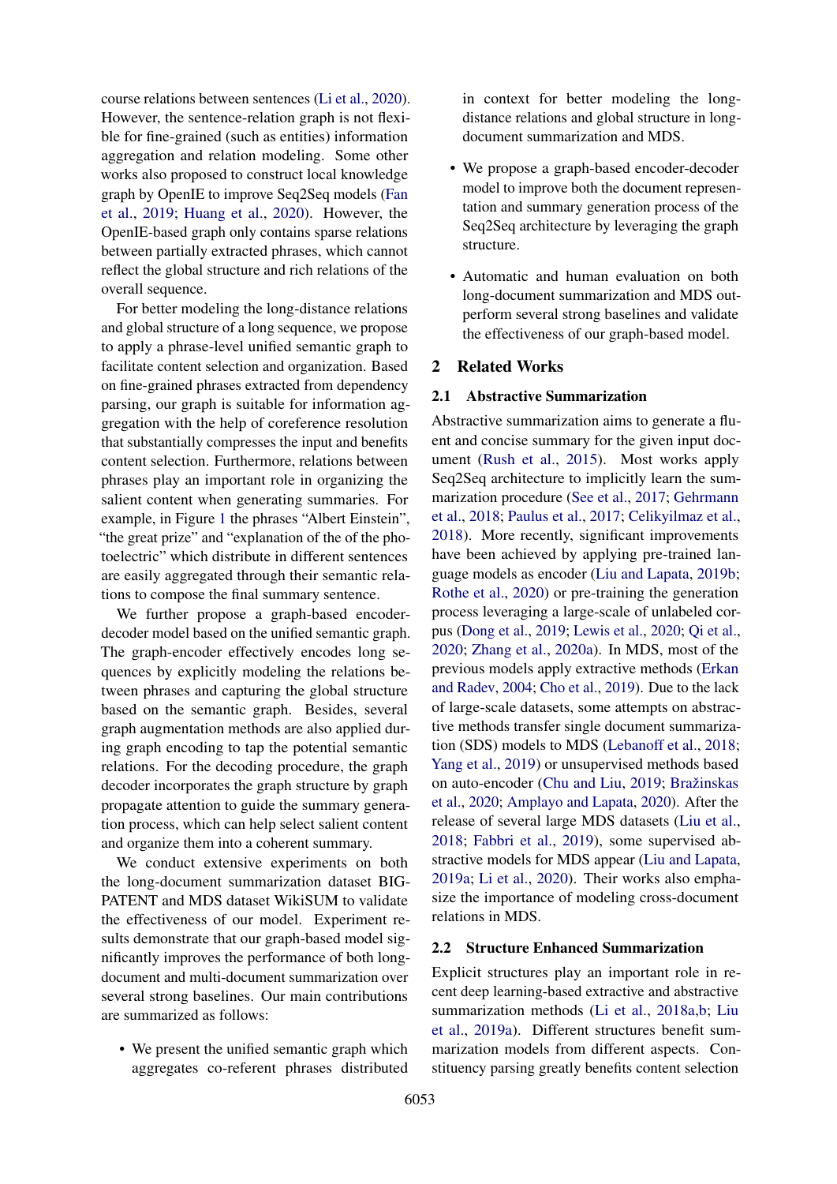course relations between sentences [\(Li et al.,](#page-10-2) [2020\)](#page-10-2). However, the sentence-relation graph is not flexible for fine-grained (such as entities) information aggregation and relation modeling. Some other works also proposed to construct local knowledge graph by OpenIE to improve Seq2Seq models [\(Fan](#page-9-1) [et al.,](#page-9-1) [2019;](#page-9-1) [Huang et al.,](#page-10-3) [2020\)](#page-10-3). However, the OpenIE-based graph only contains sparse relations between partially extracted phrases, which cannot reflect the global structure and rich relations of the overall sequence.

For better modeling the long-distance relations and global structure of a long sequence, we propose to apply a phrase-level unified semantic graph to facilitate content selection and organization. Based on fine-grained phrases extracted from dependency parsing, our graph is suitable for information aggregation with the help of coreference resolution that substantially compresses the input and benefits content selection. Furthermore, relations between phrases play an important role in organizing the salient content when generating summaries. For example, in Figure [1](#page-0-0) the phrases "Albert Einstein", "the great prize" and "explanation of the of the photoelectric" which distribute in different sentences are easily aggregated through their semantic relations to compose the final summary sentence.

We further propose a graph-based encoderdecoder model based on the unified semantic graph. The graph-encoder effectively encodes long sequences by explicitly modeling the relations between phrases and capturing the global structure based on the semantic graph. Besides, several graph augmentation methods are also applied during graph encoding to tap the potential semantic relations. For the decoding procedure, the graph decoder incorporates the graph structure by graph propagate attention to guide the summary generation process, which can help select salient content and organize them into a coherent summary.

We conduct extensive experiments on both the long-document summarization dataset BIG-PATENT and MDS dataset WikiSUM to validate the effectiveness of our model. Experiment results demonstrate that our graph-based model significantly improves the performance of both longdocument and multi-document summarization over several strong baselines. Our main contributions are summarized as follows:

• We present the unified semantic graph which aggregates co-referent phrases distributed in context for better modeling the longdistance relations and global structure in longdocument summarization and MDS.

- We propose a graph-based encoder-decoder model to improve both the document representation and summary generation process of the Seq2Seq architecture by leveraging the graph structure.
- Automatic and human evaluation on both long-document summarization and MDS outperform several strong baselines and validate the effectiveness of our graph-based model.

## 2 Related Works

### 2.1 Abstractive Summarization

Abstractive summarization aims to generate a fluent and concise summary for the given input document [\(Rush et al.,](#page-11-0) [2015\)](#page-11-0). Most works apply Seq2Seq architecture to implicitly learn the summarization procedure [\(See et al.,](#page-11-1) [2017;](#page-11-1) [Gehrmann](#page-9-2) [et al.,](#page-9-2) [2018;](#page-9-2) [Paulus et al.,](#page-11-5) [2017;](#page-11-5) [Celikyilmaz et al.,](#page-9-3) [2018\)](#page-9-3). More recently, significant improvements have been achieved by applying pre-trained language models as encoder [\(Liu and Lapata,](#page-10-4) [2019b;](#page-10-4) [Rothe et al.,](#page-11-6) [2020\)](#page-11-6) or pre-training the generation process leveraging a large-scale of unlabeled corpus [\(Dong et al.,](#page-9-4) [2019;](#page-9-4) [Lewis et al.,](#page-10-0) [2020;](#page-10-0) [Qi et al.,](#page-11-7) [2020;](#page-11-7) [Zhang et al.,](#page-11-8) [2020a\)](#page-11-8). In MDS, most of the previous models apply extractive methods [\(Erkan](#page-9-5) [and Radev,](#page-9-5) [2004;](#page-9-5) [Cho et al.,](#page-9-6) [2019\)](#page-9-6). Due to the lack of large-scale datasets, some attempts on abstractive methods transfer single document summarization (SDS) models to MDS [\(Lebanoff et al.,](#page-10-5) [2018;](#page-10-5) [Yang et al.,](#page-11-9) [2019\)](#page-11-9) or unsupervised methods based on auto-encoder [\(Chu and Liu,](#page-9-7) [2019;](#page-9-7) Bražinskas [et al.,](#page-9-8) [2020;](#page-9-8) [Amplayo and Lapata,](#page-8-0) [2020\)](#page-8-0). After the release of several large MDS datasets [\(Liu et al.,](#page-10-1) [2018;](#page-10-1) [Fabbri et al.,](#page-9-9) [2019\)](#page-9-9), some supervised abstractive models for MDS appear [\(Liu and Lapata,](#page-10-6) [2019a;](#page-10-6) [Li et al.,](#page-10-2) [2020\)](#page-10-2). Their works also emphasize the importance of modeling cross-document relations in MDS.

# 2.2 Structure Enhanced Summarization

Explicit structures play an important role in recent deep learning-based extractive and abstractive summarization methods [\(Li et al.,](#page-10-7) [2018a](#page-10-7)[,b;](#page-10-8) [Liu](#page-10-9) [et al.,](#page-10-9) [2019a\)](#page-10-9). Different structures benefit summarization models from different aspects. Constituency parsing greatly benefits content selection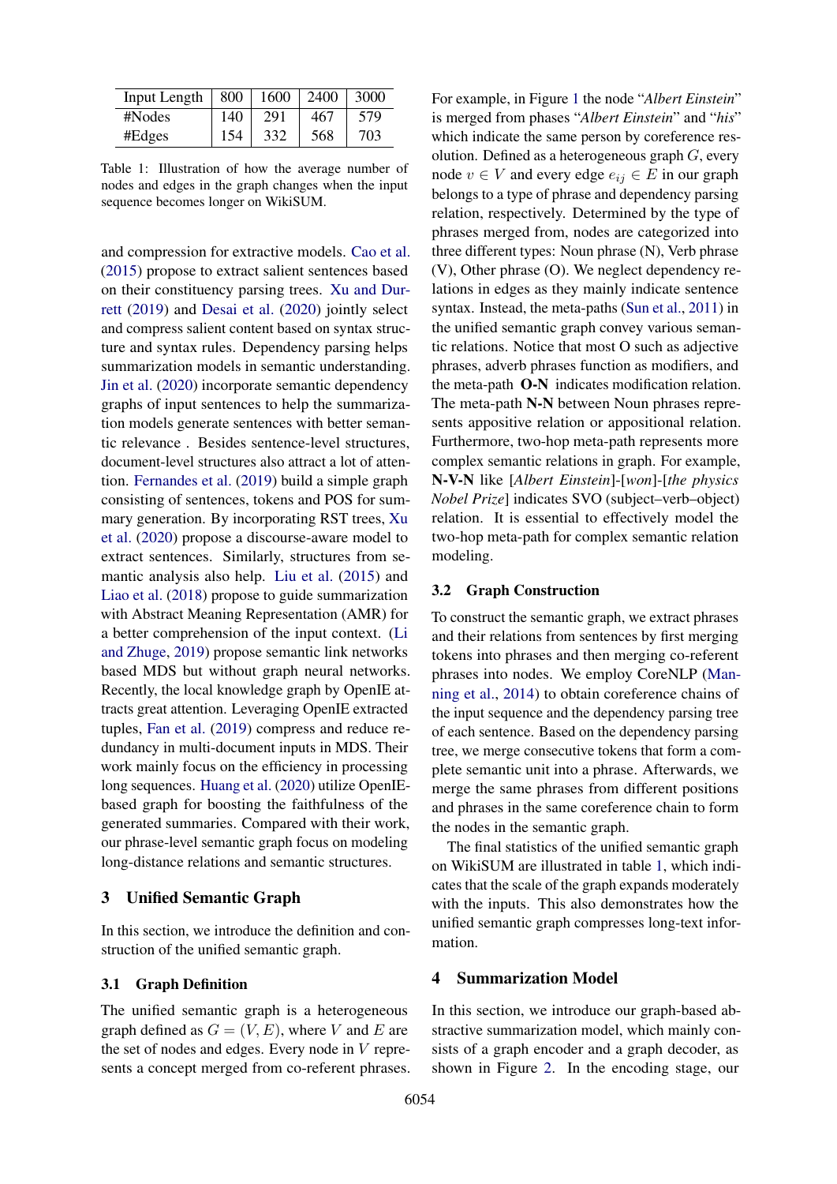<span id="page-2-1"></span>

| Input Length | $\vert 800$ | 1600 | 2400 | 3000 |
|--------------|-------------|------|------|------|
| #Nodes       | 140         | 291  | 467  | 579  |
| #Edges       | 154         | 332  | 568  | 703  |

Table 1: Illustration of how the average number of nodes and edges in the graph changes when the input sequence becomes longer on WikiSUM.

and compression for extractive models. [Cao et al.](#page-9-10) [\(2015\)](#page-9-10) propose to extract salient sentences based on their constituency parsing trees. [Xu and Dur](#page-11-10)[rett](#page-11-10) [\(2019\)](#page-11-10) and [Desai et al.](#page-9-11) [\(2020\)](#page-9-11) jointly select and compress salient content based on syntax structure and syntax rules. Dependency parsing helps summarization models in semantic understanding. [Jin et al.](#page-10-10) [\(2020\)](#page-10-10) incorporate semantic dependency graphs of input sentences to help the summarization models generate sentences with better semantic relevance . Besides sentence-level structures, document-level structures also attract a lot of attention. [Fernandes et al.](#page-9-12) [\(2019\)](#page-9-12) build a simple graph consisting of sentences, tokens and POS for summary generation. By incorporating RST trees, [Xu](#page-11-11) [et al.](#page-11-11) [\(2020\)](#page-11-11) propose a discourse-aware model to extract sentences. Similarly, structures from semantic analysis also help. [Liu et al.](#page-10-11) [\(2015\)](#page-10-11) and [Liao et al.](#page-10-12) [\(2018\)](#page-10-12) propose to guide summarization with Abstract Meaning Representation (AMR) for a better comprehension of the input context. [\(Li](#page-10-13) [and Zhuge,](#page-10-13) [2019\)](#page-10-13) propose semantic link networks based MDS but without graph neural networks. Recently, the local knowledge graph by OpenIE attracts great attention. Leveraging OpenIE extracted tuples, [Fan et al.](#page-9-1) [\(2019\)](#page-9-1) compress and reduce redundancy in multi-document inputs in MDS. Their work mainly focus on the efficiency in processing long sequences. [Huang et al.](#page-10-3) [\(2020\)](#page-10-3) utilize OpenIEbased graph for boosting the faithfulness of the generated summaries. Compared with their work, our phrase-level semantic graph focus on modeling long-distance relations and semantic structures.

# 3 Unified Semantic Graph

In this section, we introduce the definition and construction of the unified semantic graph.

### <span id="page-2-0"></span>3.1 Graph Definition

The unified semantic graph is a heterogeneous graph defined as  $G = (V, E)$ , where V and E are the set of nodes and edges. Every node in  $V$  represents a concept merged from co-referent phrases.

For example, in Figure [1](#page-0-0) the node "*Albert Einstein*" is merged from phases "*Albert Einstein*" and "*his*" which indicate the same person by coreference resolution. Defined as a heterogeneous graph  $G$ , every node  $v ∈ V$  and every edge  $e_{ij} ∈ E$  in our graph belongs to a type of phrase and dependency parsing relation, respectively. Determined by the type of phrases merged from, nodes are categorized into three different types: Noun phrase (N), Verb phrase (V), Other phrase (O). We neglect dependency relations in edges as they mainly indicate sentence syntax. Instead, the meta-paths [\(Sun et al.,](#page-11-12) [2011\)](#page-11-12) in the unified semantic graph convey various semantic relations. Notice that most O such as adjective phrases, adverb phrases function as modifiers, and the meta-path O-N indicates modification relation. The meta-path N-N between Noun phrases represents appositive relation or appositional relation. Furthermore, two-hop meta-path represents more complex semantic relations in graph. For example, N-V-N like [*Albert Einstein*]-[*won*]-[*the physics Nobel Prize*] indicates SVO (subject–verb–object) relation. It is essential to effectively model the two-hop meta-path for complex semantic relation modeling.

#### <span id="page-2-2"></span>3.2 Graph Construction

To construct the semantic graph, we extract phrases and their relations from sentences by first merging tokens into phrases and then merging co-referent phrases into nodes. We employ CoreNLP [\(Man](#page-11-13)[ning et al.,](#page-11-13) [2014\)](#page-11-13) to obtain coreference chains of the input sequence and the dependency parsing tree of each sentence. Based on the dependency parsing tree, we merge consecutive tokens that form a complete semantic unit into a phrase. Afterwards, we merge the same phrases from different positions and phrases in the same coreference chain to form the nodes in the semantic graph.

The final statistics of the unified semantic graph on WikiSUM are illustrated in table [1,](#page-2-1) which indicates that the scale of the graph expands moderately with the inputs. This also demonstrates how the unified semantic graph compresses long-text information.

### 4 Summarization Model

In this section, we introduce our graph-based abstractive summarization model, which mainly consists of a graph encoder and a graph decoder, as shown in Figure [2.](#page-3-0) In the encoding stage, our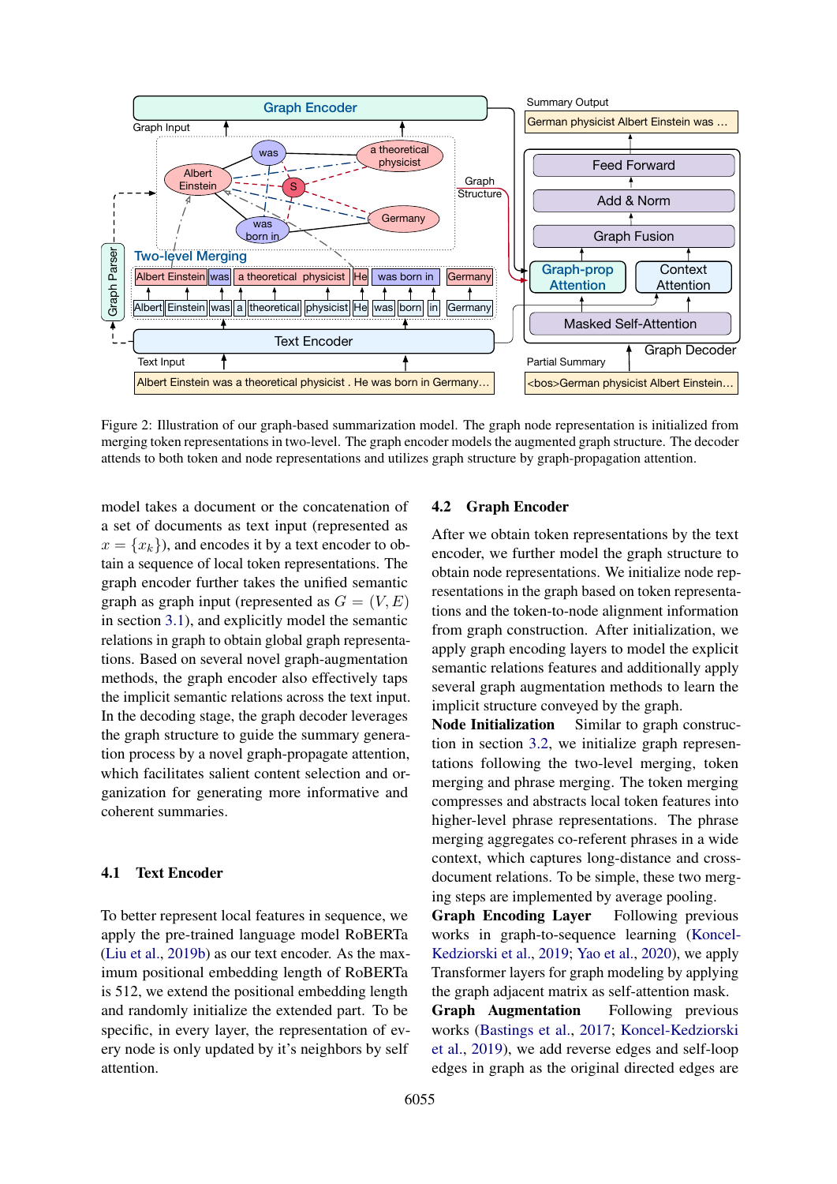<span id="page-3-0"></span>

Figure 2: Illustration of our graph-based summarization model. The graph node representation is initialized from merging token representations in two-level. The graph encoder models the augmented graph structure. The decoder attends to both token and node representations and utilizes graph structure by graph-propagation attention.

model takes a document or the concatenation of a set of documents as text input (represented as  $x = \{x_k\}$ , and encodes it by a text encoder to obtain a sequence of local token representations. The graph encoder further takes the unified semantic graph as graph input (represented as  $G = (V, E)$ in section [3.1\)](#page-2-0), and explicitly model the semantic relations in graph to obtain global graph representations. Based on several novel graph-augmentation methods, the graph encoder also effectively taps the implicit semantic relations across the text input. In the decoding stage, the graph decoder leverages the graph structure to guide the summary generation process by a novel graph-propagate attention, which facilitates salient content selection and organization for generating more informative and coherent summaries.

### 4.1 Text Encoder

To better represent local features in sequence, we apply the pre-trained language model RoBERTa [\(Liu et al.,](#page-11-14) [2019b\)](#page-11-14) as our text encoder. As the maximum positional embedding length of RoBERTa is 512, we extend the positional embedding length and randomly initialize the extended part. To be specific, in every layer, the representation of every node is only updated by it's neighbors by self attention.

#### 4.2 Graph Encoder

After we obtain token representations by the text encoder, we further model the graph structure to obtain node representations. We initialize node representations in the graph based on token representations and the token-to-node alignment information from graph construction. After initialization, we apply graph encoding layers to model the explicit semantic relations features and additionally apply several graph augmentation methods to learn the implicit structure conveyed by the graph.

Node Initialization Similar to graph construction in section [3.2,](#page-2-2) we initialize graph representations following the two-level merging, token merging and phrase merging. The token merging compresses and abstracts local token features into higher-level phrase representations. The phrase merging aggregates co-referent phrases in a wide context, which captures long-distance and crossdocument relations. To be simple, these two merging steps are implemented by average pooling.

Graph Encoding Layer Following previous works in graph-to-sequence learning [\(Koncel-](#page-10-14)[Kedziorski et al.,](#page-10-14) [2019;](#page-10-14) [Yao et al.,](#page-11-15) [2020\)](#page-11-15), we apply Transformer layers for graph modeling by applying the graph adjacent matrix as self-attention mask.

Graph Augmentation Following previous works [\(Bastings et al.,](#page-9-13) [2017;](#page-9-13) [Koncel-Kedziorski](#page-10-14) [et al.,](#page-10-14) [2019\)](#page-10-14), we add reverse edges and self-loop edges in graph as the original directed edges are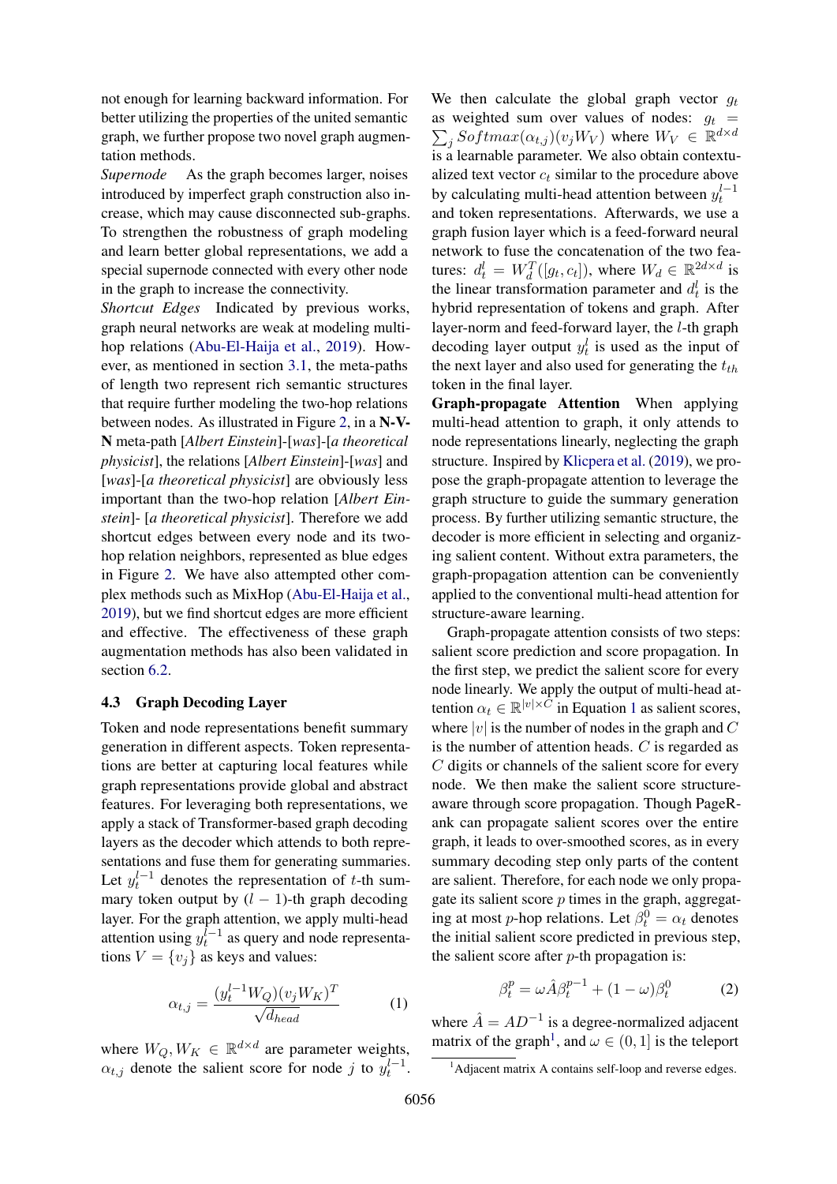not enough for learning backward information. For better utilizing the properties of the united semantic graph, we further propose two novel graph augmentation methods.

*Supernode* As the graph becomes larger, noises introduced by imperfect graph construction also increase, which may cause disconnected sub-graphs. To strengthen the robustness of graph modeling and learn better global representations, we add a special supernode connected with every other node in the graph to increase the connectivity.

*Shortcut Edges* Indicated by previous works, graph neural networks are weak at modeling multihop relations [\(Abu-El-Haija et al.,](#page-8-1) [2019\)](#page-8-1). However, as mentioned in section [3.1,](#page-2-0) the meta-paths of length two represent rich semantic structures that require further modeling the two-hop relations between nodes. As illustrated in Figure [2,](#page-3-0) in a N-V-N meta-path [*Albert Einstein*]-[*was*]-[*a theoretical physicist*], the relations [*Albert Einstein*]-[*was*] and [*was*]-[*a theoretical physicist*] are obviously less important than the two-hop relation [*Albert Einstein*]- [*a theoretical physicist*]. Therefore we add shortcut edges between every node and its twohop relation neighbors, represented as blue edges in Figure [2.](#page-3-0) We have also attempted other complex methods such as MixHop [\(Abu-El-Haija et al.,](#page-8-1) [2019\)](#page-8-1), but we find shortcut edges are more efficient and effective. The effectiveness of these graph augmentation methods has also been validated in section [6.2.](#page-7-0)

# 4.3 Graph Decoding Layer

Token and node representations benefit summary generation in different aspects. Token representations are better at capturing local features while graph representations provide global and abstract features. For leveraging both representations, we apply a stack of Transformer-based graph decoding layers as the decoder which attends to both representations and fuse them for generating summaries. Let  $y_t^{l-1}$  denotes the representation of t-th summary token output by  $(l - 1)$ -th graph decoding layer. For the graph attention, we apply multi-head attention using  $y_t^{l-1}$  as query and node representations  $V = \{v_i\}$  as keys and values:

$$
\alpha_{t,j} = \frac{(y_t^{l-1} W_Q)(v_j W_K)^T}{\sqrt{d_{head}}}
$$
 (1)

where  $W_Q, W_K \in \mathbb{R}^{d \times d}$  are parameter weights,  $\alpha_{t,j}$  denote the salient score for node j to  $y_t^{l-1}$ . We then calculate the global graph vector  $q_t$  $\sum_{j}Softmax(\alpha_{t,j})(v_jW_V)$  where  $W_V \in \mathbb{R}^{d \times d}$ as weighted sum over values of nodes:  $q_t$  = is a learnable parameter. We also obtain contextualized text vector  $c_t$  similar to the procedure above by calculating multi-head attention between  $y_t^{l-1}$ and token representations. Afterwards, we use a graph fusion layer which is a feed-forward neural network to fuse the concatenation of the two features:  $d_t^l = W_d^T([g_t, c_t]),$  where  $W_d \in \mathbb{R}^{2d \times d}$  is the linear transformation parameter and  $d_t^l$  is the hybrid representation of tokens and graph. After layer-norm and feed-forward layer, the l-th graph decoding layer output  $y_t^l$  is used as the input of the next layer and also used for generating the  $t_{th}$ token in the final layer.

Graph-propagate Attention When applying multi-head attention to graph, it only attends to node representations linearly, neglecting the graph structure. Inspired by [Klicpera et al.](#page-10-15) [\(2019\)](#page-10-15), we propose the graph-propagate attention to leverage the graph structure to guide the summary generation process. By further utilizing semantic structure, the decoder is more efficient in selecting and organizing salient content. Without extra parameters, the graph-propagation attention can be conveniently applied to the conventional multi-head attention for structure-aware learning.

Graph-propagate attention consists of two steps: salient score prediction and score propagation. In the first step, we predict the salient score for every node linearly. We apply the output of multi-head attention  $\alpha_t \in \mathbb{R}^{|v| \times C}$  in Equation [1](#page-4-0) as salient scores, where  $|v|$  is the number of nodes in the graph and  $C$ is the number of attention heads. C is regarded as C digits or channels of the salient score for every node. We then make the salient score structureaware through score propagation. Though PageRank can propagate salient scores over the entire graph, it leads to over-smoothed scores, as in every summary decoding step only parts of the content are salient. Therefore, for each node we only propagate its salient score  $p$  times in the graph, aggregating at most *p*-hop relations. Let  $\beta_t^0 = \alpha_t$  denotes the initial salient score predicted in previous step, the salient score after  $p$ -th propagation is:

$$
\beta_t^p = \omega \hat{A} \beta_t^{p-1} + (1 - \omega) \beta_t^0 \tag{2}
$$

<span id="page-4-0"></span>where  $\hat{A} = AD^{-1}$  is a degree-normalized adjacent matrix of the graph<sup>[1](#page-4-1)</sup>, and  $\omega \in (0, 1]$  is the teleport

<span id="page-4-1"></span><sup>&</sup>lt;sup>1</sup>Adjacent matrix A contains self-loop and reverse edges.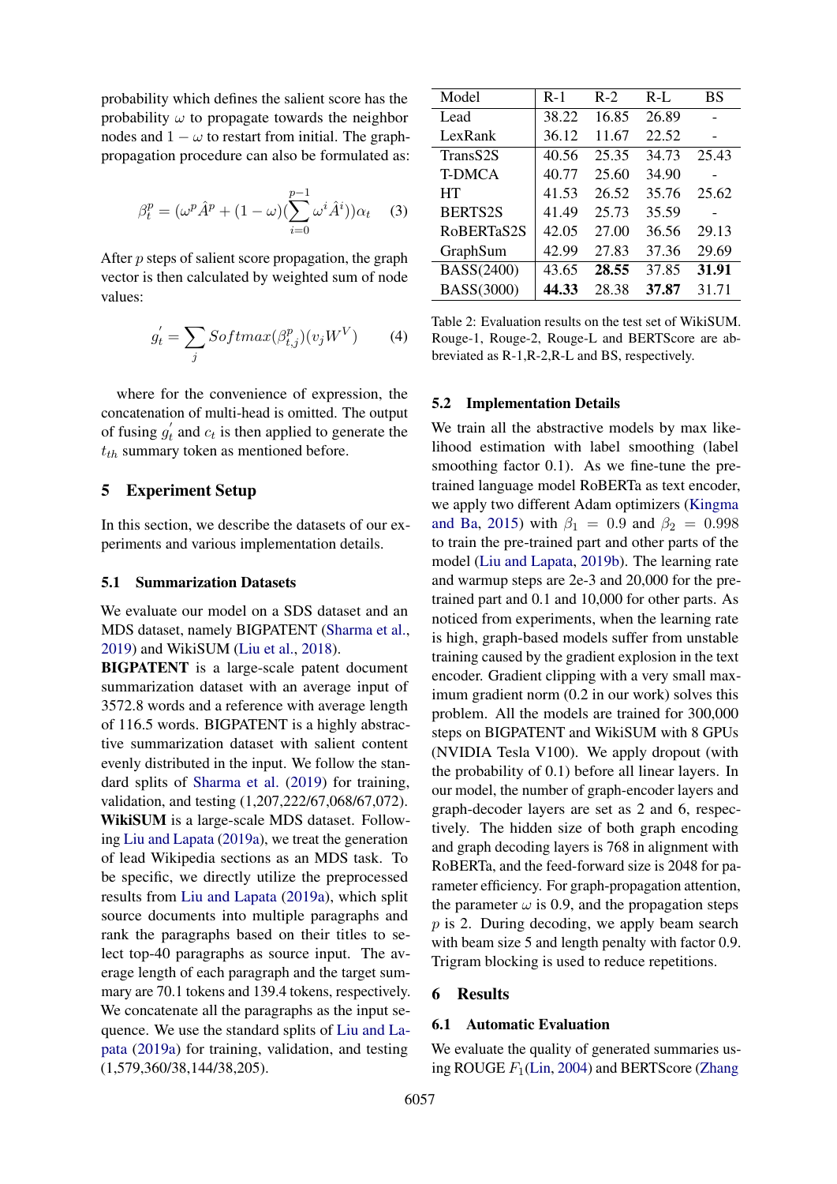probability which defines the salient score has the probability  $\omega$  to propagate towards the neighbor nodes and  $1 - \omega$  to restart from initial. The graphpropagation procedure can also be formulated as:

$$
\beta_t^p = (\omega^p \hat{A}^p + (1 - \omega) (\sum_{i=0}^{p-1} \omega^i \hat{A}^i)) \alpha_t \quad (3)
$$

After p steps of salient score propagation, the graph vector is then calculated by weighted sum of node values:

$$
g_t' = \sum_j Softmax(\beta_{t,j}^p)(v_j W^V) \tag{4}
$$

where for the convenience of expression, the concatenation of multi-head is omitted. The output of fusing  $g'_t$  and  $c_t$  is then applied to generate the  $t_{th}$  summary token as mentioned before.

# 5 Experiment Setup

In this section, we describe the datasets of our experiments and various implementation details.

# 5.1 Summarization Datasets

We evaluate our model on a SDS dataset and an MDS dataset, namely BIGPATENT [\(Sharma et al.,](#page-11-2) [2019\)](#page-11-2) and WikiSUM [\(Liu et al.,](#page-10-1) [2018\)](#page-10-1).

BIGPATENT is a large-scale patent document summarization dataset with an average input of 3572.8 words and a reference with average length of 116.5 words. BIGPATENT is a highly abstractive summarization dataset with salient content evenly distributed in the input. We follow the standard splits of [Sharma et al.](#page-11-2) [\(2019\)](#page-11-2) for training, validation, and testing (1,207,222/67,068/67,072). WikiSUM is a large-scale MDS dataset. Following [Liu and Lapata](#page-10-6) [\(2019a\)](#page-10-6), we treat the generation of lead Wikipedia sections as an MDS task. To be specific, we directly utilize the preprocessed results from [Liu and Lapata](#page-10-6) [\(2019a\)](#page-10-6), which split source documents into multiple paragraphs and rank the paragraphs based on their titles to select top-40 paragraphs as source input. The average length of each paragraph and the target summary are 70.1 tokens and 139.4 tokens, respectively. We concatenate all the paragraphs as the input sequence. We use the standard splits of [Liu and La](#page-10-6)[pata](#page-10-6) [\(2019a\)](#page-10-6) for training, validation, and testing (1,579,360/38,144/38,205).

<span id="page-5-0"></span>

| Model          | $R-1$ | $R-2$ | $R-L$ | BS    |  |
|----------------|-------|-------|-------|-------|--|
| Lead           | 38.22 | 16.85 | 26.89 |       |  |
| LexRank        | 36.12 | 11.67 | 22.52 |       |  |
| TransS2S       | 40.56 | 25.35 | 34.73 | 25.43 |  |
| <b>T-DMCA</b>  | 40.77 | 25.60 | 34.90 |       |  |
| HT             | 41.53 | 26.52 | 35.76 | 25.62 |  |
| <b>BERTS2S</b> | 41.49 | 25.73 | 35.59 |       |  |
| RoBERTaS2S     | 42.05 | 27.00 | 36.56 | 29.13 |  |
| GraphSum       | 42.99 | 27.83 | 37.36 | 29.69 |  |
| BASS(2400)     | 43.65 | 28.55 | 37.85 | 31.91 |  |
| BASS(3000)     | 44.33 | 28.38 | 37.87 | 31.71 |  |

Table 2: Evaluation results on the test set of WikiSUM. Rouge-1, Rouge-2, Rouge-L and BERTScore are abbreviated as R-1,R-2,R-L and BS, respectively.

#### 5.2 Implementation Details

We train all the abstractive models by max likelihood estimation with label smoothing (label smoothing factor 0.1). As we fine-tune the pretrained language model RoBERTa as text encoder, we apply two different Adam optimizers [\(Kingma](#page-10-16) [and Ba,](#page-10-16) [2015\)](#page-10-16) with  $\beta_1 = 0.9$  and  $\beta_2 = 0.998$ to train the pre-trained part and other parts of the model [\(Liu and Lapata,](#page-10-4) [2019b\)](#page-10-4). The learning rate and warmup steps are 2e-3 and 20,000 for the pretrained part and 0.1 and 10,000 for other parts. As noticed from experiments, when the learning rate is high, graph-based models suffer from unstable training caused by the gradient explosion in the text encoder. Gradient clipping with a very small maximum gradient norm (0.2 in our work) solves this problem. All the models are trained for 300,000 steps on BIGPATENT and WikiSUM with 8 GPUs (NVIDIA Tesla V100). We apply dropout (with the probability of 0.1) before all linear layers. In our model, the number of graph-encoder layers and graph-decoder layers are set as 2 and 6, respectively. The hidden size of both graph encoding and graph decoding layers is 768 in alignment with RoBERTa, and the feed-forward size is 2048 for parameter efficiency. For graph-propagation attention, the parameter  $\omega$  is 0.9, and the propagation steps p is 2. During decoding, we apply beam search with beam size 5 and length penalty with factor 0.9. Trigram blocking is used to reduce repetitions.

#### 6 Results

#### 6.1 Automatic Evaluation

We evaluate the quality of generated summaries using ROUGE  $F_1$ [\(Lin,](#page-10-17) [2004\)](#page-10-17) and BERTScore [\(Zhang](#page-11-16)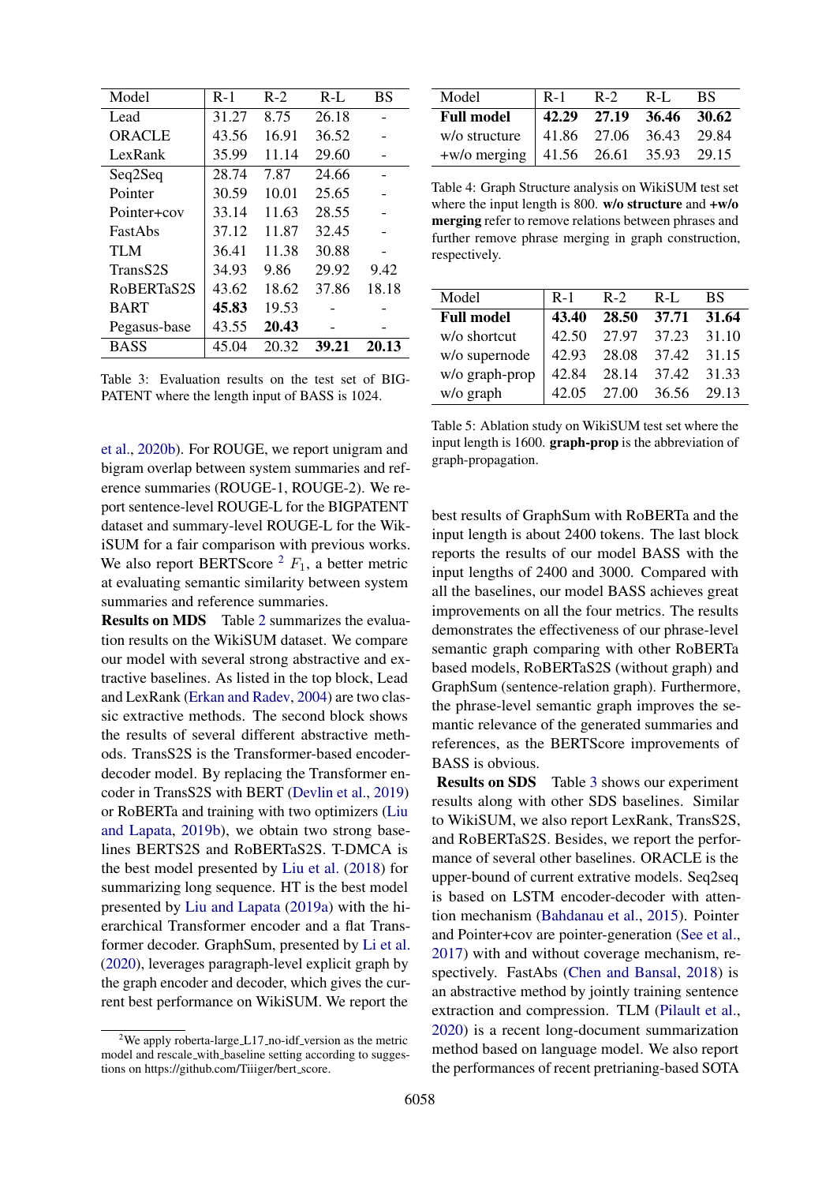<span id="page-6-1"></span>

| Model                | $R-1$ | $R-2$ | $R-L$ | <b>BS</b> |
|----------------------|-------|-------|-------|-----------|
| Lead                 | 31.27 | 8.75  | 26.18 |           |
| <b>ORACLE</b>        | 43.56 | 16.91 | 36.52 |           |
| LexRank              | 35.99 | 11.14 | 29.60 |           |
| Seq2Seq              | 28.74 | 7.87  | 24.66 |           |
| Pointer              | 30.59 | 10.01 | 25.65 |           |
| Pointer+cov          | 33.14 | 11.63 | 28.55 |           |
| <b>FastAbs</b>       | 37.12 | 11.87 | 32.45 |           |
| TI M                 | 36.41 | 11.38 | 30.88 |           |
| TransS <sub>2S</sub> | 34.93 | 9.86  | 29.92 | 9.42      |
| RoBERTaS2S           | 43.62 | 18.62 | 37.86 | 18.18     |
| <b>BART</b>          | 45.83 | 19.53 |       |           |
| Pegasus-base         | 43.55 | 20.43 |       |           |
| <b>BASS</b>          | 45.04 | 20.32 | 39.21 | 20.13     |

Table 3: Evaluation results on the test set of BIG-PATENT where the length input of BASS is 1024.

[et al.,](#page-11-16) [2020b\)](#page-11-16). For ROUGE, we report unigram and bigram overlap between system summaries and reference summaries (ROUGE-1, ROUGE-2). We report sentence-level ROUGE-L for the BIGPATENT dataset and summary-level ROUGE-L for the WikiSUM for a fair comparison with previous works. We also report BERTScore  $^2$  $^2$   $F_1$ , a better metric at evaluating semantic similarity between system summaries and reference summaries.

Results on MDS Table [2](#page-5-0) summarizes the evaluation results on the WikiSUM dataset. We compare our model with several strong abstractive and extractive baselines. As listed in the top block, Lead and LexRank [\(Erkan and Radev,](#page-9-5) [2004\)](#page-9-5) are two classic extractive methods. The second block shows the results of several different abstractive methods. TransS2S is the Transformer-based encoderdecoder model. By replacing the Transformer encoder in TransS2S with BERT [\(Devlin et al.,](#page-9-14) [2019\)](#page-9-14) or RoBERTa and training with two optimizers [\(Liu](#page-10-4) [and Lapata,](#page-10-4) [2019b\)](#page-10-4), we obtain two strong baselines BERTS2S and RoBERTaS2S. T-DMCA is the best model presented by [Liu et al.](#page-10-1) [\(2018\)](#page-10-1) for summarizing long sequence. HT is the best model presented by [Liu and Lapata](#page-10-6) [\(2019a\)](#page-10-6) with the hierarchical Transformer encoder and a flat Transformer decoder. GraphSum, presented by [Li et al.](#page-10-2) [\(2020\)](#page-10-2), leverages paragraph-level explicit graph by the graph encoder and decoder, which gives the current best performance on WikiSUM. We report the

<span id="page-6-2"></span>

| Model                                         | R-1 | $R-2$ | $R-L$                                                         | -BS |
|-----------------------------------------------|-----|-------|---------------------------------------------------------------|-----|
| <b>Full model</b>                             |     |       | $\begin{array}{ l} 42.29 & 27.19 & 36.46 & 30.62 \end{array}$ |     |
| w/o structure   41.86 27.06 36.43 29.84       |     |       |                                                               |     |
| +w/o merging $ 41.56 \t26.61 \t35.93 \t29.15$ |     |       |                                                               |     |

Table 4: Graph Structure analysis on WikiSUM test set where the input length is 800.  $w/o$  structure and  $+w/o$ merging refer to remove relations between phrases and further remove phrase merging in graph construction, respectively.

| Model             | $R-1$ | $R-2$       | $R-I$ .     | <b>BS</b> |
|-------------------|-------|-------------|-------------|-----------|
| <b>Full model</b> | 43.40 | 28.50       | 37.71       | 31.64     |
| w/o shortcut      | 42.50 | 27.97       | 37.23       | 31.10     |
| w/o supernode     | 42.93 | 28.08       | 37.42       | 31.15     |
| w/o graph-prop    | 42.84 | 28.14       | 37.42 31.33 |           |
| w/o graph         | 42.05 | 27.00 36.56 |             | 29.13     |
|                   |       |             |             |           |

Table 5: Ablation study on WikiSUM test set where the input length is 1600. graph-prop is the abbreviation of graph-propagation.

best results of GraphSum with RoBERTa and the input length is about 2400 tokens. The last block reports the results of our model BASS with the input lengths of 2400 and 3000. Compared with all the baselines, our model BASS achieves great improvements on all the four metrics. The results demonstrates the effectiveness of our phrase-level semantic graph comparing with other RoBERTa based models, RoBERTaS2S (without graph) and GraphSum (sentence-relation graph). Furthermore, the phrase-level semantic graph improves the semantic relevance of the generated summaries and references, as the BERTScore improvements of BASS is obvious.

Results on SDS Table [3](#page-6-1) shows our experiment results along with other SDS baselines. Similar to WikiSUM, we also report LexRank, TransS2S, and RoBERTaS2S. Besides, we report the performance of several other baselines. ORACLE is the upper-bound of current extrative models. Seq2seq is based on LSTM encoder-decoder with attention mechanism [\(Bahdanau et al.,](#page-8-2) [2015\)](#page-8-2). Pointer and Pointer+cov are pointer-generation [\(See et al.,](#page-11-1) [2017\)](#page-11-1) with and without coverage mechanism, respectively. FastAbs [\(Chen and Bansal,](#page-9-15) [2018\)](#page-9-15) is an abstractive method by jointly training sentence extraction and compression. TLM [\(Pilault et al.,](#page-11-17) [2020\)](#page-11-17) is a recent long-document summarization method based on language model. We also report the performances of recent pretrianing-based SOTA

<span id="page-6-0"></span><sup>&</sup>lt;sup>2</sup>We apply roberta-large  $\angle$  L17 no-idf version as the metric model and rescale with baseline setting according to suggestions on https://github.com/Tiiiger/bert score.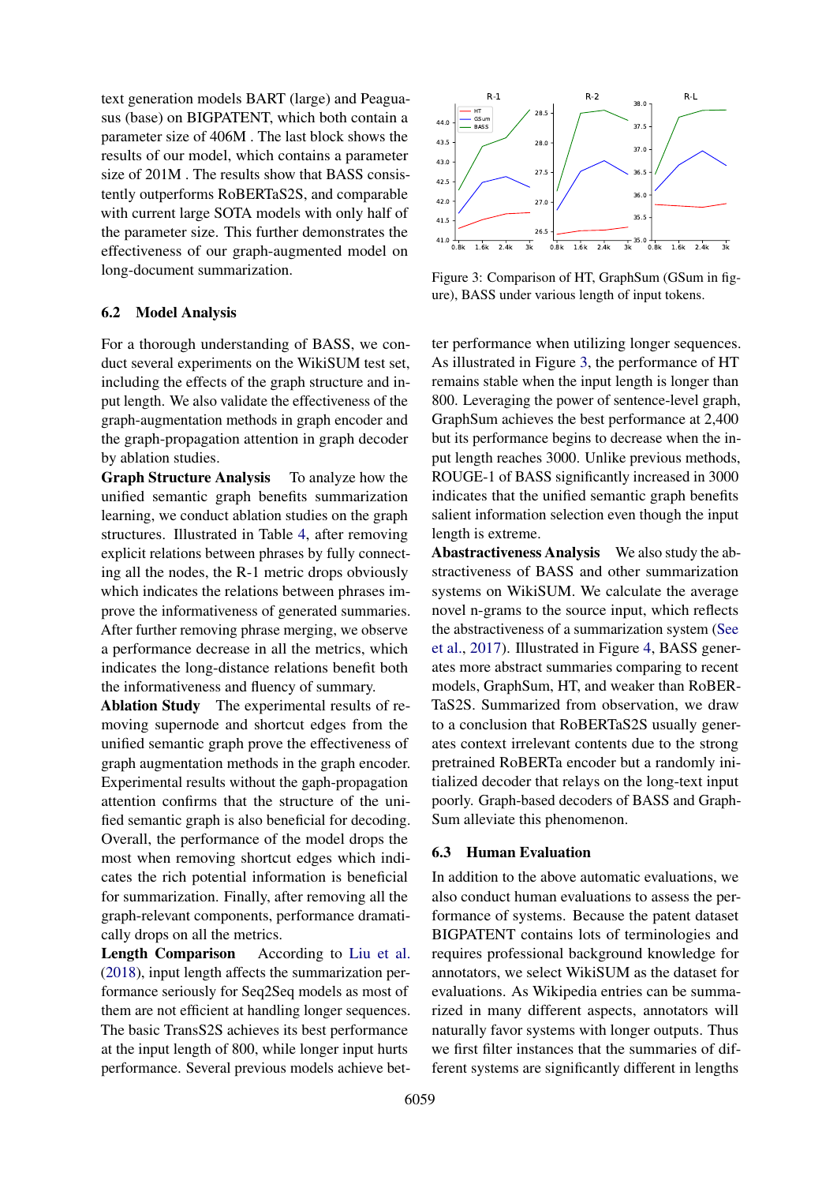text generation models BART (large) and Peaguasus (base) on BIGPATENT, which both contain a parameter size of 406M . The last block shows the results of our model, which contains a parameter size of 201M . The results show that BASS consistently outperforms RoBERTaS2S, and comparable with current large SOTA models with only half of the parameter size. This further demonstrates the effectiveness of our graph-augmented model on long-document summarization.

### <span id="page-7-0"></span>6.2 Model Analysis

For a thorough understanding of BASS, we conduct several experiments on the WikiSUM test set, including the effects of the graph structure and input length. We also validate the effectiveness of the graph-augmentation methods in graph encoder and the graph-propagation attention in graph decoder by ablation studies.

Graph Structure Analysis To analyze how the unified semantic graph benefits summarization learning, we conduct ablation studies on the graph structures. Illustrated in Table [4,](#page-6-2) after removing explicit relations between phrases by fully connecting all the nodes, the R-1 metric drops obviously which indicates the relations between phrases improve the informativeness of generated summaries. After further removing phrase merging, we observe a performance decrease in all the metrics, which indicates the long-distance relations benefit both the informativeness and fluency of summary.

Ablation Study The experimental results of removing supernode and shortcut edges from the unified semantic graph prove the effectiveness of graph augmentation methods in the graph encoder. Experimental results without the gaph-propagation attention confirms that the structure of the unified semantic graph is also beneficial for decoding. Overall, the performance of the model drops the most when removing shortcut edges which indicates the rich potential information is beneficial for summarization. Finally, after removing all the graph-relevant components, performance dramatically drops on all the metrics.

Length Comparison According to [Liu et al.](#page-10-1) [\(2018\)](#page-10-1), input length affects the summarization performance seriously for Seq2Seq models as most of them are not efficient at handling longer sequences. The basic TransS2S achieves its best performance at the input length of 800, while longer input hurts performance. Several previous models achieve bet-

<span id="page-7-1"></span>

Figure 3: Comparison of HT, GraphSum (GSum in figure), BASS under various length of input tokens.

ter performance when utilizing longer sequences. As illustrated in Figure [3,](#page-7-1) the performance of HT remains stable when the input length is longer than 800. Leveraging the power of sentence-level graph, GraphSum achieves the best performance at 2,400 but its performance begins to decrease when the input length reaches 3000. Unlike previous methods, ROUGE-1 of BASS significantly increased in 3000 indicates that the unified semantic graph benefits salient information selection even though the input length is extreme.

Abastractiveness Analysis We also study the abstractiveness of BASS and other summarization systems on WikiSUM. We calculate the average novel n-grams to the source input, which reflects the abstractiveness of a summarization system [\(See](#page-11-1) [et al.,](#page-11-1) [2017\)](#page-11-1). Illustrated in Figure [4,](#page-8-3) BASS generates more abstract summaries comparing to recent models, GraphSum, HT, and weaker than RoBER-TaS2S. Summarized from observation, we draw to a conclusion that RoBERTaS2S usually generates context irrelevant contents due to the strong pretrained RoBERTa encoder but a randomly initialized decoder that relays on the long-text input poorly. Graph-based decoders of BASS and Graph-Sum alleviate this phenomenon.

### 6.3 Human Evaluation

In addition to the above automatic evaluations, we also conduct human evaluations to assess the performance of systems. Because the patent dataset BIGPATENT contains lots of terminologies and requires professional background knowledge for annotators, we select WikiSUM as the dataset for evaluations. As Wikipedia entries can be summarized in many different aspects, annotators will naturally favor systems with longer outputs. Thus we first filter instances that the summaries of different systems are significantly different in lengths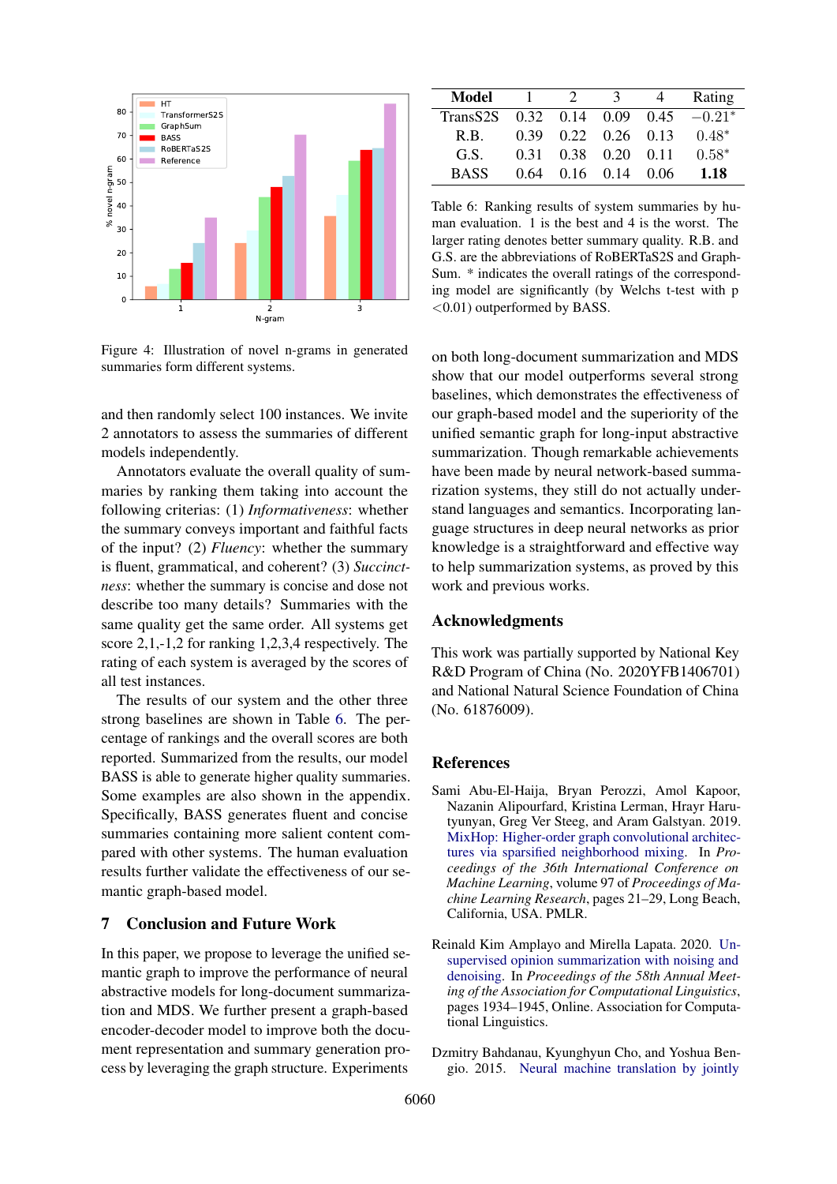<span id="page-8-3"></span>

Figure 4: Illustration of novel n-grams in generated summaries form different systems.

and then randomly select 100 instances. We invite 2 annotators to assess the summaries of different models independently.

Annotators evaluate the overall quality of summaries by ranking them taking into account the following criterias: (1) *Informativeness*: whether the summary conveys important and faithful facts of the input? (2) *Fluency*: whether the summary is fluent, grammatical, and coherent? (3) *Succinctness*: whether the summary is concise and dose not describe too many details? Summaries with the same quality get the same order. All systems get score 2,1,-1,2 for ranking 1,2,3,4 respectively. The rating of each system is averaged by the scores of all test instances.

The results of our system and the other three strong baselines are shown in Table [6.](#page-8-4) The percentage of rankings and the overall scores are both reported. Summarized from the results, our model BASS is able to generate higher quality summaries. Some examples are also shown in the appendix. Specifically, BASS generates fluent and concise summaries containing more salient content compared with other systems. The human evaluation results further validate the effectiveness of our semantic graph-based model.

## 7 Conclusion and Future Work

In this paper, we propose to leverage the unified semantic graph to improve the performance of neural abstractive models for long-document summarization and MDS. We further present a graph-based encoder-decoder model to improve both the document representation and summary generation process by leveraging the graph structure. Experiments

<span id="page-8-4"></span>

| Model                |      | $\mathcal{D}$               | -3                           |                                         | Rating   |
|----------------------|------|-----------------------------|------------------------------|-----------------------------------------|----------|
| TransS <sub>2S</sub> |      |                             |                              | $0.32 \quad 0.14 \quad 0.09 \quad 0.45$ | $-0.21*$ |
| R.B.                 | 0.39 |                             | $0.22 \quad 0.26 \quad 0.13$ |                                         | $0.48*$  |
| G.S.                 |      | $0.31$ $0.38$ $0.20$ $0.11$ |                              |                                         | $0.58*$  |
| <b>BASS</b>          | 0.64 |                             | $0.16 \quad 0.14$            | 0.06                                    | 1.18     |

Table 6: Ranking results of system summaries by human evaluation. 1 is the best and 4 is the worst. The larger rating denotes better summary quality. R.B. and G.S. are the abbreviations of RoBERTaS2S and Graph-Sum. \* indicates the overall ratings of the corresponding model are significantly (by Welchs t-test with p  $\leq$ 0.01) outperformed by BASS.

on both long-document summarization and MDS show that our model outperforms several strong baselines, which demonstrates the effectiveness of our graph-based model and the superiority of the unified semantic graph for long-input abstractive summarization. Though remarkable achievements have been made by neural network-based summarization systems, they still do not actually understand languages and semantics. Incorporating language structures in deep neural networks as prior knowledge is a straightforward and effective way to help summarization systems, as proved by this work and previous works.

### Acknowledgments

This work was partially supported by National Key R&D Program of China (No. 2020YFB1406701) and National Natural Science Foundation of China (No. 61876009).

# References

- <span id="page-8-1"></span>Sami Abu-El-Haija, Bryan Perozzi, Amol Kapoor, Nazanin Alipourfard, Kristina Lerman, Hrayr Harutyunyan, Greg Ver Steeg, and Aram Galstyan. 2019. [MixHop: Higher-order graph convolutional architec](http://proceedings.mlr.press/v97/abu-el-haija19a.html)[tures via sparsified neighborhood mixing.](http://proceedings.mlr.press/v97/abu-el-haija19a.html) In *Proceedings of the 36th International Conference on Machine Learning*, volume 97 of *Proceedings of Machine Learning Research*, pages 21–29, Long Beach, California, USA. PMLR.
- <span id="page-8-0"></span>Reinald Kim Amplayo and Mirella Lapata. 2020. [Un](https://doi.org/10.18653/v1/2020.acl-main.175)[supervised opinion summarization with noising and](https://doi.org/10.18653/v1/2020.acl-main.175) [denoising.](https://doi.org/10.18653/v1/2020.acl-main.175) In *Proceedings of the 58th Annual Meeting of the Association for Computational Linguistics*, pages 1934–1945, Online. Association for Computational Linguistics.
- <span id="page-8-2"></span>Dzmitry Bahdanau, Kyunghyun Cho, and Yoshua Bengio. 2015. [Neural machine translation by jointly](http://arxiv.org/abs/1409.0473)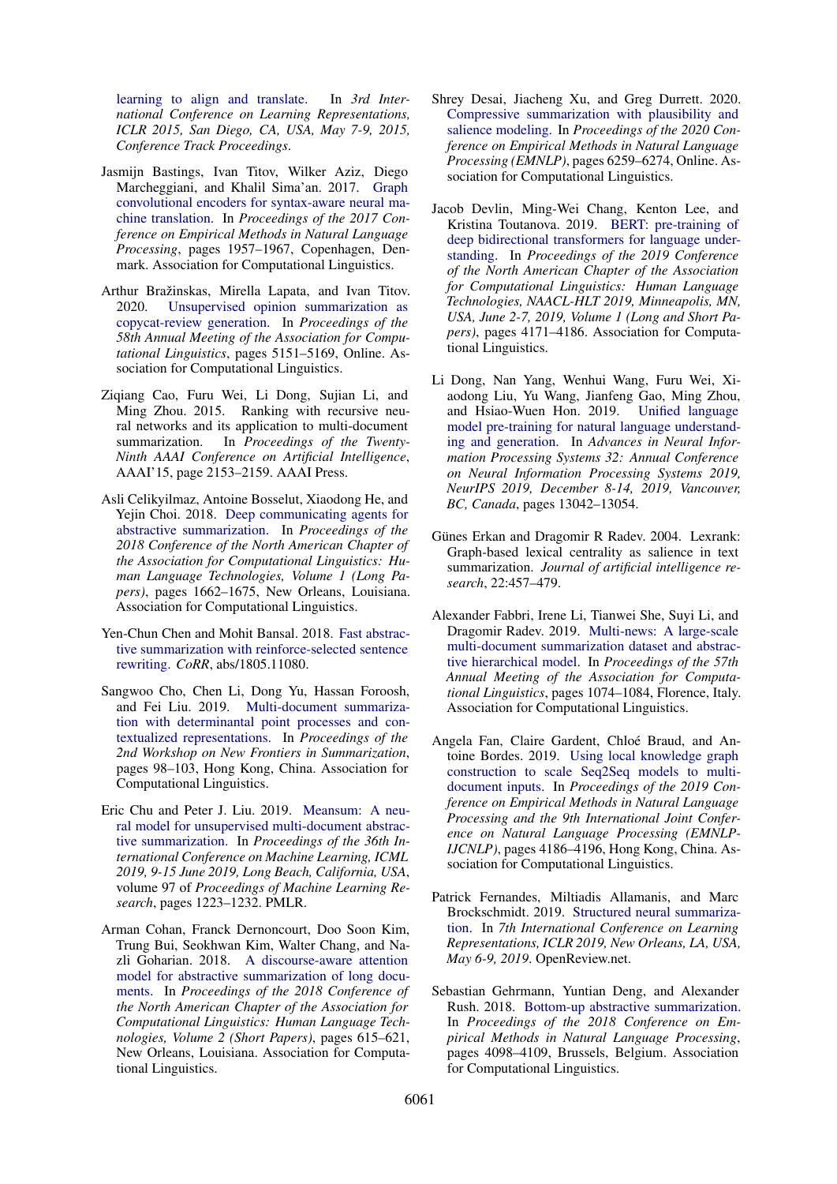[learning to align and translate.](http://arxiv.org/abs/1409.0473) In *3rd International Conference on Learning Representations, ICLR 2015, San Diego, CA, USA, May 7-9, 2015, Conference Track Proceedings*.

- <span id="page-9-13"></span>Jasmijn Bastings, Ivan Titov, Wilker Aziz, Diego Marcheggiani, and Khalil Sima'an. 2017. [Graph](https://doi.org/10.18653/v1/D17-1209) [convolutional encoders for syntax-aware neural ma](https://doi.org/10.18653/v1/D17-1209)[chine translation.](https://doi.org/10.18653/v1/D17-1209) In *Proceedings of the 2017 Conference on Empirical Methods in Natural Language Processing*, pages 1957–1967, Copenhagen, Denmark. Association for Computational Linguistics.
- <span id="page-9-8"></span>Arthur Bražinskas, Mirella Lapata, and Ivan Titov. 2020. [Unsupervised opinion summarization as](https://doi.org/10.18653/v1/2020.acl-main.461) [copycat-review generation.](https://doi.org/10.18653/v1/2020.acl-main.461) In *Proceedings of the 58th Annual Meeting of the Association for Computational Linguistics*, pages 5151–5169, Online. Association for Computational Linguistics.
- <span id="page-9-10"></span>Ziqiang Cao, Furu Wei, Li Dong, Sujian Li, and Ming Zhou. 2015. Ranking with recursive neural networks and its application to multi-document summarization. In *Proceedings of the Twenty-Ninth AAAI Conference on Artificial Intelligence*, AAAI'15, page 2153–2159. AAAI Press.
- <span id="page-9-3"></span>Asli Celikyilmaz, Antoine Bosselut, Xiaodong He, and Yejin Choi. 2018. [Deep communicating agents for](https://doi.org/10.18653/v1/N18-1150) [abstractive summarization.](https://doi.org/10.18653/v1/N18-1150) In *Proceedings of the 2018 Conference of the North American Chapter of the Association for Computational Linguistics: Human Language Technologies, Volume 1 (Long Papers)*, pages 1662–1675, New Orleans, Louisiana. Association for Computational Linguistics.
- <span id="page-9-15"></span>Yen-Chun Chen and Mohit Bansal. 2018. [Fast abstrac](http://arxiv.org/abs/1805.11080)[tive summarization with reinforce-selected sentence](http://arxiv.org/abs/1805.11080) [rewriting.](http://arxiv.org/abs/1805.11080) *CoRR*, abs/1805.11080.
- <span id="page-9-6"></span>Sangwoo Cho, Chen Li, Dong Yu, Hassan Foroosh, and Fei Liu. 2019. [Multi-document summariza](https://doi.org/10.18653/v1/D19-5412)[tion with determinantal point processes and con](https://doi.org/10.18653/v1/D19-5412)[textualized representations.](https://doi.org/10.18653/v1/D19-5412) In *Proceedings of the 2nd Workshop on New Frontiers in Summarization*, pages 98–103, Hong Kong, China. Association for Computational Linguistics.
- <span id="page-9-7"></span>Eric Chu and Peter J. Liu. 2019. [Meansum: A neu](http://proceedings.mlr.press/v97/chu19b.html)[ral model for unsupervised multi-document abstrac](http://proceedings.mlr.press/v97/chu19b.html)[tive summarization.](http://proceedings.mlr.press/v97/chu19b.html) In *Proceedings of the 36th International Conference on Machine Learning, ICML 2019, 9-15 June 2019, Long Beach, California, USA*, volume 97 of *Proceedings of Machine Learning Research*, pages 1223–1232. PMLR.
- <span id="page-9-0"></span>Arman Cohan, Franck Dernoncourt, Doo Soon Kim, Trung Bui, Seokhwan Kim, Walter Chang, and Nazli Goharian. 2018. [A discourse-aware attention](https://doi.org/10.18653/v1/N18-2097) [model for abstractive summarization of long docu](https://doi.org/10.18653/v1/N18-2097)[ments.](https://doi.org/10.18653/v1/N18-2097) In *Proceedings of the 2018 Conference of the North American Chapter of the Association for Computational Linguistics: Human Language Technologies, Volume 2 (Short Papers)*, pages 615–621, New Orleans, Louisiana. Association for Computational Linguistics.
- <span id="page-9-11"></span>Shrey Desai, Jiacheng Xu, and Greg Durrett. 2020. [Compressive summarization with plausibility and](https://doi.org/10.18653/v1/2020.emnlp-main.507) [salience modeling.](https://doi.org/10.18653/v1/2020.emnlp-main.507) In *Proceedings of the 2020 Conference on Empirical Methods in Natural Language Processing (EMNLP)*, pages 6259–6274, Online. Association for Computational Linguistics.
- <span id="page-9-14"></span>Jacob Devlin, Ming-Wei Chang, Kenton Lee, and Kristina Toutanova. 2019. [BERT: pre-training of](https://doi.org/10.18653/v1/n19-1423) [deep bidirectional transformers for language under](https://doi.org/10.18653/v1/n19-1423)[standing.](https://doi.org/10.18653/v1/n19-1423) In *Proceedings of the 2019 Conference of the North American Chapter of the Association for Computational Linguistics: Human Language Technologies, NAACL-HLT 2019, Minneapolis, MN, USA, June 2-7, 2019, Volume 1 (Long and Short Papers)*, pages 4171–4186. Association for Computational Linguistics.
- <span id="page-9-4"></span>Li Dong, Nan Yang, Wenhui Wang, Furu Wei, Xiaodong Liu, Yu Wang, Jianfeng Gao, Ming Zhou, and Hsiao-Wuen Hon. 2019. [Unified language](http://papers.nips.cc/paper/9464-unified-language-model-pre-training-for-natural-language-understanding-and-generation) [model pre-training for natural language understand](http://papers.nips.cc/paper/9464-unified-language-model-pre-training-for-natural-language-understanding-and-generation)[ing and generation.](http://papers.nips.cc/paper/9464-unified-language-model-pre-training-for-natural-language-understanding-and-generation) In *Advances in Neural Information Processing Systems 32: Annual Conference on Neural Information Processing Systems 2019, NeurIPS 2019, December 8-14, 2019, Vancouver, BC, Canada*, pages 13042–13054.
- <span id="page-9-5"></span>Günes Erkan and Dragomir R Radev. 2004. Lexrank: Graph-based lexical centrality as salience in text summarization. *Journal of artificial intelligence research*, 22:457–479.
- <span id="page-9-9"></span>Alexander Fabbri, Irene Li, Tianwei She, Suyi Li, and Dragomir Radev. 2019. [Multi-news: A large-scale](https://doi.org/10.18653/v1/P19-1102) [multi-document summarization dataset and abstrac](https://doi.org/10.18653/v1/P19-1102)[tive hierarchical model.](https://doi.org/10.18653/v1/P19-1102) In *Proceedings of the 57th Annual Meeting of the Association for Computational Linguistics*, pages 1074–1084, Florence, Italy. Association for Computational Linguistics.
- <span id="page-9-1"></span>Angela Fan, Claire Gardent, Chloé Braud, and Antoine Bordes. 2019. [Using local knowledge graph](https://doi.org/10.18653/v1/D19-1428) [construction to scale Seq2Seq models to multi](https://doi.org/10.18653/v1/D19-1428)[document inputs.](https://doi.org/10.18653/v1/D19-1428) In *Proceedings of the 2019 Conference on Empirical Methods in Natural Language Processing and the 9th International Joint Conference on Natural Language Processing (EMNLP-IJCNLP)*, pages 4186–4196, Hong Kong, China. Association for Computational Linguistics.
- <span id="page-9-12"></span>Patrick Fernandes, Miltiadis Allamanis, and Marc Brockschmidt. 2019. [Structured neural summariza](https://openreview.net/forum?id=H1ersoRqtm)[tion.](https://openreview.net/forum?id=H1ersoRqtm) In *7th International Conference on Learning Representations, ICLR 2019, New Orleans, LA, USA, May 6-9, 2019*. OpenReview.net.
- <span id="page-9-2"></span>Sebastian Gehrmann, Yuntian Deng, and Alexander Rush. 2018. [Bottom-up abstractive summarization.](https://doi.org/10.18653/v1/D18-1443) In *Proceedings of the 2018 Conference on Empirical Methods in Natural Language Processing*, pages 4098–4109, Brussels, Belgium. Association for Computational Linguistics.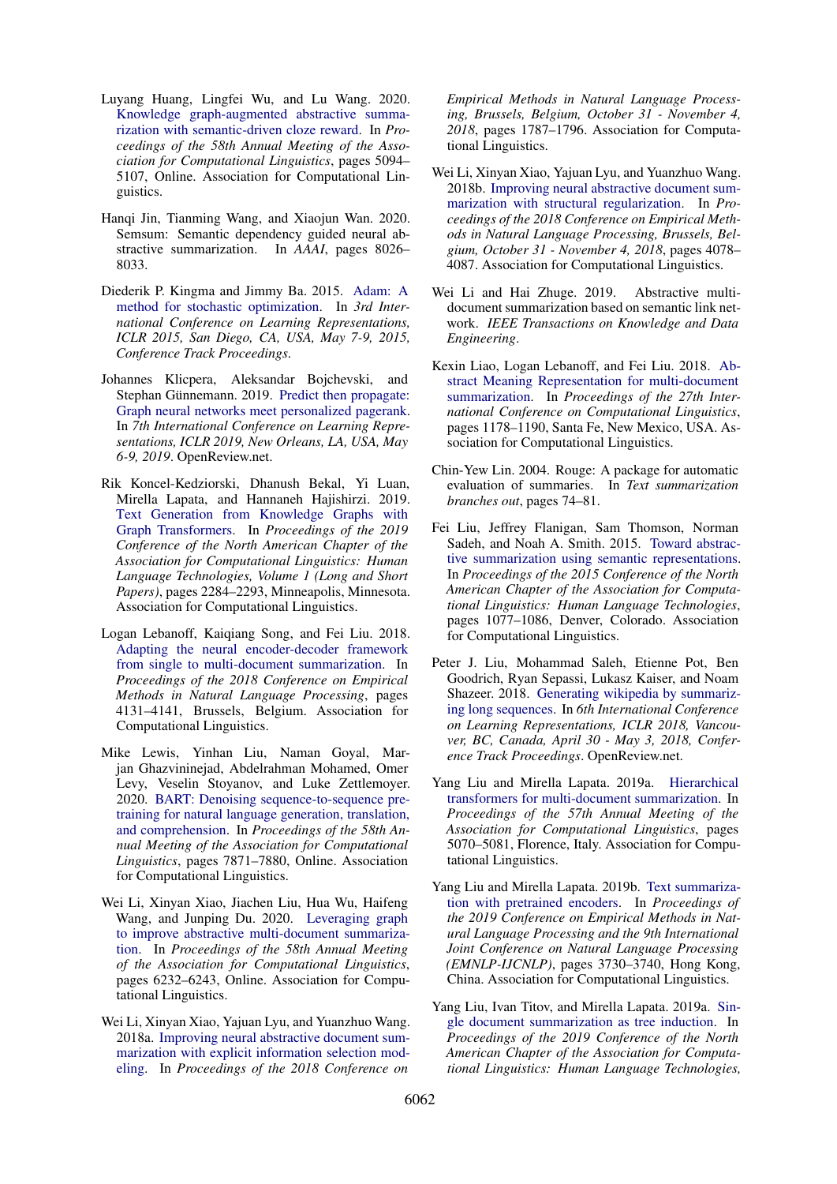- <span id="page-10-3"></span>Luyang Huang, Lingfei Wu, and Lu Wang. 2020. [Knowledge graph-augmented abstractive summa](https://doi.org/10.18653/v1/2020.acl-main.457)[rization with semantic-driven cloze reward.](https://doi.org/10.18653/v1/2020.acl-main.457) In *Proceedings of the 58th Annual Meeting of the Association for Computational Linguistics*, pages 5094– 5107, Online. Association for Computational Linguistics.
- <span id="page-10-10"></span>Hanqi Jin, Tianming Wang, and Xiaojun Wan. 2020. Semsum: Semantic dependency guided neural abstractive summarization. In *AAAI*, pages 8026– 8033.
- <span id="page-10-16"></span>Diederik P. Kingma and Jimmy Ba. 2015. [Adam: A](http://arxiv.org/abs/1412.6980) [method for stochastic optimization.](http://arxiv.org/abs/1412.6980) In *3rd International Conference on Learning Representations, ICLR 2015, San Diego, CA, USA, May 7-9, 2015, Conference Track Proceedings*.
- <span id="page-10-15"></span>Johannes Klicpera, Aleksandar Bojchevski, and Stephan Günnemann. 2019. [Predict then propagate:](https://openreview.net/forum?id=H1gL-2A9Ym) [Graph neural networks meet personalized pagerank.](https://openreview.net/forum?id=H1gL-2A9Ym) In *7th International Conference on Learning Representations, ICLR 2019, New Orleans, LA, USA, May 6-9, 2019*. OpenReview.net.
- <span id="page-10-14"></span>Rik Koncel-Kedziorski, Dhanush Bekal, Yi Luan, Mirella Lapata, and Hannaneh Hajishirzi. 2019. [Text Generation from Knowledge Graphs with](https://doi.org/10.18653/v1/N19-1238) [Graph Transformers.](https://doi.org/10.18653/v1/N19-1238) In *Proceedings of the 2019 Conference of the North American Chapter of the Association for Computational Linguistics: Human Language Technologies, Volume 1 (Long and Short Papers)*, pages 2284–2293, Minneapolis, Minnesota. Association for Computational Linguistics.
- <span id="page-10-5"></span>Logan Lebanoff, Kaiqiang Song, and Fei Liu. 2018. [Adapting the neural encoder-decoder framework](https://doi.org/10.18653/v1/D18-1446) [from single to multi-document summarization.](https://doi.org/10.18653/v1/D18-1446) In *Proceedings of the 2018 Conference on Empirical Methods in Natural Language Processing*, pages 4131–4141, Brussels, Belgium. Association for Computational Linguistics.
- <span id="page-10-0"></span>Mike Lewis, Yinhan Liu, Naman Goyal, Marjan Ghazvininejad, Abdelrahman Mohamed, Omer Levy, Veselin Stoyanov, and Luke Zettlemoyer. 2020. [BART: Denoising sequence-to-sequence pre](https://doi.org/10.18653/v1/2020.acl-main.703)[training for natural language generation, translation,](https://doi.org/10.18653/v1/2020.acl-main.703) [and comprehension.](https://doi.org/10.18653/v1/2020.acl-main.703) In *Proceedings of the 58th Annual Meeting of the Association for Computational Linguistics*, pages 7871–7880, Online. Association for Computational Linguistics.
- <span id="page-10-2"></span>Wei Li, Xinyan Xiao, Jiachen Liu, Hua Wu, Haifeng Wang, and Junping Du. 2020. [Leveraging graph](https://doi.org/10.18653/v1/2020.acl-main.555) [to improve abstractive multi-document summariza](https://doi.org/10.18653/v1/2020.acl-main.555)[tion.](https://doi.org/10.18653/v1/2020.acl-main.555) In *Proceedings of the 58th Annual Meeting of the Association for Computational Linguistics*, pages 6232–6243, Online. Association for Computational Linguistics.
- <span id="page-10-7"></span>Wei Li, Xinyan Xiao, Yajuan Lyu, and Yuanzhuo Wang. 2018a. [Improving neural abstractive document sum](https://doi.org/10.18653/v1/d18-1205)[marization with explicit information selection mod](https://doi.org/10.18653/v1/d18-1205)[eling.](https://doi.org/10.18653/v1/d18-1205) In *Proceedings of the 2018 Conference on*

*Empirical Methods in Natural Language Processing, Brussels, Belgium, October 31 - November 4, 2018*, pages 1787–1796. Association for Computational Linguistics.

- <span id="page-10-8"></span>Wei Li, Xinyan Xiao, Yajuan Lyu, and Yuanzhuo Wang. 2018b. [Improving neural abstractive document sum](https://doi.org/10.18653/v1/d18-1441)[marization with structural regularization.](https://doi.org/10.18653/v1/d18-1441) In *Proceedings of the 2018 Conference on Empirical Methods in Natural Language Processing, Brussels, Belgium, October 31 - November 4, 2018*, pages 4078– 4087. Association for Computational Linguistics.
- <span id="page-10-13"></span>Wei Li and Hai Zhuge. 2019. Abstractive multidocument summarization based on semantic link network. *IEEE Transactions on Knowledge and Data Engineering*.
- <span id="page-10-12"></span>Kexin Liao, Logan Lebanoff, and Fei Liu. 2018. [Ab](https://www.aclweb.org/anthology/C18-1101)[stract Meaning Representation for multi-document](https://www.aclweb.org/anthology/C18-1101) [summarization.](https://www.aclweb.org/anthology/C18-1101) In *Proceedings of the 27th International Conference on Computational Linguistics*, pages 1178–1190, Santa Fe, New Mexico, USA. Association for Computational Linguistics.
- <span id="page-10-17"></span>Chin-Yew Lin. 2004. Rouge: A package for automatic evaluation of summaries. In *Text summarization branches out*, pages 74–81.
- <span id="page-10-11"></span>Fei Liu, Jeffrey Flanigan, Sam Thomson, Norman Sadeh, and Noah A. Smith. 2015. [Toward abstrac](https://doi.org/10.3115/v1/N15-1114)[tive summarization using semantic representations.](https://doi.org/10.3115/v1/N15-1114) In *Proceedings of the 2015 Conference of the North American Chapter of the Association for Computational Linguistics: Human Language Technologies*, pages 1077–1086, Denver, Colorado. Association for Computational Linguistics.
- <span id="page-10-1"></span>Peter J. Liu, Mohammad Saleh, Etienne Pot, Ben Goodrich, Ryan Sepassi, Lukasz Kaiser, and Noam Shazeer. 2018. [Generating wikipedia by summariz](https://openreview.net/forum?id=Hyg0vbWC-)[ing long sequences.](https://openreview.net/forum?id=Hyg0vbWC-) In *6th International Conference on Learning Representations, ICLR 2018, Vancouver, BC, Canada, April 30 - May 3, 2018, Conference Track Proceedings*. OpenReview.net.
- <span id="page-10-6"></span>Yang Liu and Mirella Lapata. 2019a. [Hierarchical](https://doi.org/10.18653/v1/P19-1500) [transformers for multi-document summarization.](https://doi.org/10.18653/v1/P19-1500) In *Proceedings of the 57th Annual Meeting of the Association for Computational Linguistics*, pages 5070–5081, Florence, Italy. Association for Computational Linguistics.
- <span id="page-10-4"></span>Yang Liu and Mirella Lapata. 2019b. [Text summariza](https://doi.org/10.18653/v1/D19-1387)[tion with pretrained encoders.](https://doi.org/10.18653/v1/D19-1387) In *Proceedings of the 2019 Conference on Empirical Methods in Natural Language Processing and the 9th International Joint Conference on Natural Language Processing (EMNLP-IJCNLP)*, pages 3730–3740, Hong Kong, China. Association for Computational Linguistics.
- <span id="page-10-9"></span>Yang Liu, Ivan Titov, and Mirella Lapata. 2019a. [Sin](https://doi.org/10.18653/v1/n19-1173)[gle document summarization as tree induction.](https://doi.org/10.18653/v1/n19-1173) In *Proceedings of the 2019 Conference of the North American Chapter of the Association for Computational Linguistics: Human Language Technologies,*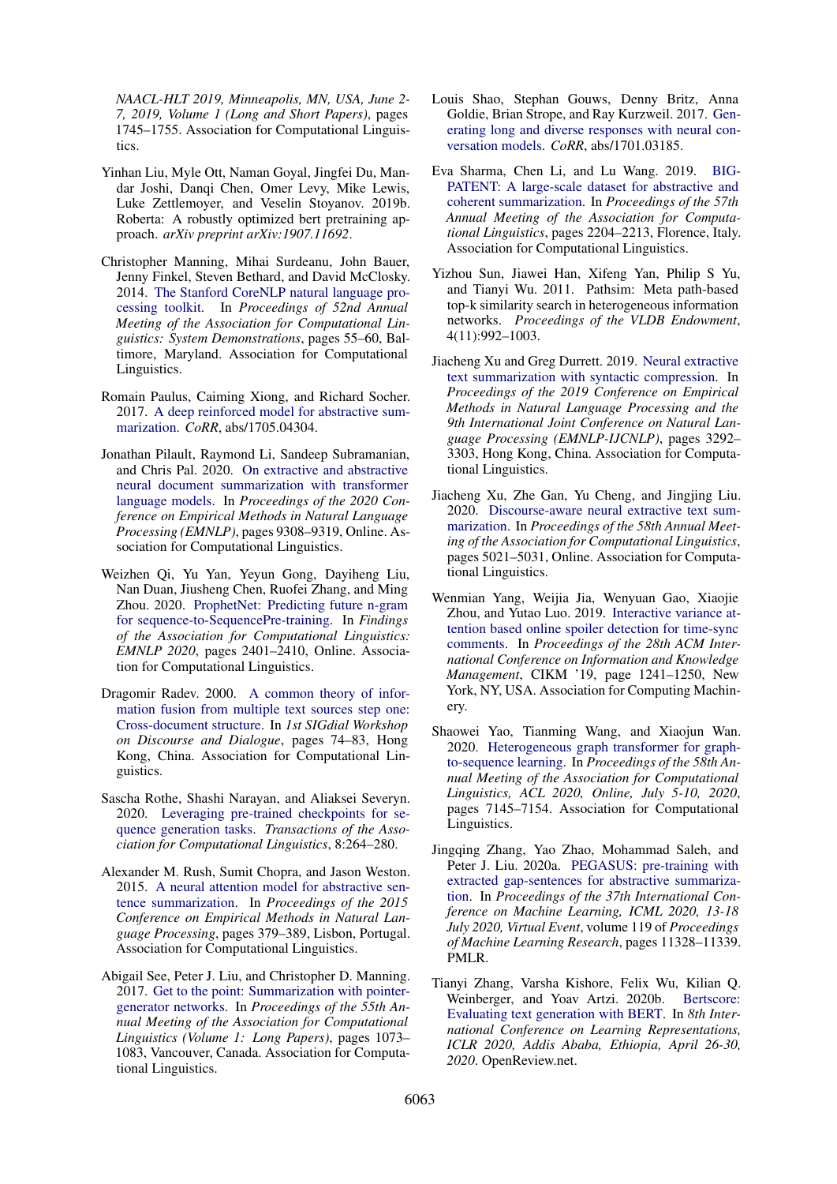*NAACL-HLT 2019, Minneapolis, MN, USA, June 2- 7, 2019, Volume 1 (Long and Short Papers)*, pages 1745–1755. Association for Computational Linguistics.

- <span id="page-11-14"></span>Yinhan Liu, Myle Ott, Naman Goyal, Jingfei Du, Mandar Joshi, Danqi Chen, Omer Levy, Mike Lewis, Luke Zettlemoyer, and Veselin Stoyanov. 2019b. Roberta: A robustly optimized bert pretraining approach. *arXiv preprint arXiv:1907.11692*.
- <span id="page-11-13"></span>Christopher Manning, Mihai Surdeanu, John Bauer, Jenny Finkel, Steven Bethard, and David McClosky. 2014. [The Stanford CoreNLP natural language pro](https://doi.org/10.3115/v1/P14-5010)[cessing toolkit.](https://doi.org/10.3115/v1/P14-5010) In *Proceedings of 52nd Annual Meeting of the Association for Computational Linguistics: System Demonstrations*, pages 55–60, Baltimore, Maryland. Association for Computational Linguistics.
- <span id="page-11-5"></span>Romain Paulus, Caiming Xiong, and Richard Socher. 2017. [A deep reinforced model for abstractive sum](http://arxiv.org/abs/1705.04304)[marization.](http://arxiv.org/abs/1705.04304) *CoRR*, abs/1705.04304.
- <span id="page-11-17"></span>Jonathan Pilault, Raymond Li, Sandeep Subramanian, and Chris Pal. 2020. [On extractive and abstractive](https://doi.org/10.18653/v1/2020.emnlp-main.748) [neural document summarization with transformer](https://doi.org/10.18653/v1/2020.emnlp-main.748) [language models.](https://doi.org/10.18653/v1/2020.emnlp-main.748) In *Proceedings of the 2020 Conference on Empirical Methods in Natural Language Processing (EMNLP)*, pages 9308–9319, Online. Association for Computational Linguistics.
- <span id="page-11-7"></span>Weizhen Qi, Yu Yan, Yeyun Gong, Dayiheng Liu, Nan Duan, Jiusheng Chen, Ruofei Zhang, and Ming Zhou. 2020. [ProphetNet: Predicting future n-gram](https://doi.org/10.18653/v1/2020.findings-emnlp.217) [for sequence-to-SequencePre-training.](https://doi.org/10.18653/v1/2020.findings-emnlp.217) In *Findings of the Association for Computational Linguistics: EMNLP 2020*, pages 2401–2410, Online. Association for Computational Linguistics.
- <span id="page-11-3"></span>Dragomir Radev. 2000. [A common theory of infor](https://doi.org/10.3115/1117736.1117745)[mation fusion from multiple text sources step one:](https://doi.org/10.3115/1117736.1117745) [Cross-document structure.](https://doi.org/10.3115/1117736.1117745) In *1st SIGdial Workshop on Discourse and Dialogue*, pages 74–83, Hong Kong, China. Association for Computational Linguistics.
- <span id="page-11-6"></span>Sascha Rothe, Shashi Narayan, and Aliaksei Severyn. 2020. [Leveraging pre-trained checkpoints for se](https://doi.org/10.1162/tacl_a_00313)[quence generation tasks.](https://doi.org/10.1162/tacl_a_00313) *Transactions of the Association for Computational Linguistics*, 8:264–280.
- <span id="page-11-0"></span>Alexander M. Rush, Sumit Chopra, and Jason Weston. 2015. [A neural attention model for abstractive sen](https://doi.org/10.18653/v1/D15-1044)[tence summarization.](https://doi.org/10.18653/v1/D15-1044) In *Proceedings of the 2015 Conference on Empirical Methods in Natural Language Processing*, pages 379–389, Lisbon, Portugal. Association for Computational Linguistics.
- <span id="page-11-1"></span>Abigail See, Peter J. Liu, and Christopher D. Manning. 2017. [Get to the point: Summarization with pointer](https://doi.org/10.18653/v1/P17-1099)[generator networks.](https://doi.org/10.18653/v1/P17-1099) In *Proceedings of the 55th Annual Meeting of the Association for Computational Linguistics (Volume 1: Long Papers)*, pages 1073– 1083, Vancouver, Canada. Association for Computational Linguistics.
- <span id="page-11-4"></span>Louis Shao, Stephan Gouws, Denny Britz, Anna Goldie, Brian Strope, and Ray Kurzweil. 2017. [Gen](http://arxiv.org/abs/1701.03185)[erating long and diverse responses with neural con](http://arxiv.org/abs/1701.03185)[versation models.](http://arxiv.org/abs/1701.03185) *CoRR*, abs/1701.03185.
- <span id="page-11-2"></span>Eva Sharma, Chen Li, and Lu Wang. 2019. [BIG-](https://doi.org/10.18653/v1/P19-1212)[PATENT: A large-scale dataset for abstractive and](https://doi.org/10.18653/v1/P19-1212) [coherent summarization.](https://doi.org/10.18653/v1/P19-1212) In *Proceedings of the 57th Annual Meeting of the Association for Computational Linguistics*, pages 2204–2213, Florence, Italy. Association for Computational Linguistics.
- <span id="page-11-12"></span>Yizhou Sun, Jiawei Han, Xifeng Yan, Philip S Yu, and Tianyi Wu. 2011. Pathsim: Meta path-based top-k similarity search in heterogeneous information networks. *Proceedings of the VLDB Endowment*, 4(11):992–1003.
- <span id="page-11-10"></span>Jiacheng Xu and Greg Durrett. 2019. [Neural extractive](https://doi.org/10.18653/v1/D19-1324) [text summarization with syntactic compression.](https://doi.org/10.18653/v1/D19-1324) In *Proceedings of the 2019 Conference on Empirical Methods in Natural Language Processing and the 9th International Joint Conference on Natural Language Processing (EMNLP-IJCNLP)*, pages 3292– 3303, Hong Kong, China. Association for Computational Linguistics.
- <span id="page-11-11"></span>Jiacheng Xu, Zhe Gan, Yu Cheng, and Jingjing Liu. 2020. [Discourse-aware neural extractive text sum](https://doi.org/10.18653/v1/2020.acl-main.451)[marization.](https://doi.org/10.18653/v1/2020.acl-main.451) In *Proceedings of the 58th Annual Meeting of the Association for Computational Linguistics*, pages 5021–5031, Online. Association for Computational Linguistics.
- <span id="page-11-9"></span>Wenmian Yang, Weijia Jia, Wenyuan Gao, Xiaojie Zhou, and Yutao Luo. 2019. [Interactive variance at](https://doi.org/10.1145/3357384.3357872)[tention based online spoiler detection for time-sync](https://doi.org/10.1145/3357384.3357872) [comments.](https://doi.org/10.1145/3357384.3357872) In *Proceedings of the 28th ACM International Conference on Information and Knowledge Management*, CIKM '19, page 1241–1250, New York, NY, USA. Association for Computing Machinery.
- <span id="page-11-15"></span>Shaowei Yao, Tianming Wang, and Xiaojun Wan. 2020. [Heterogeneous graph transformer for graph](https://doi.org/10.18653/v1/2020.acl-main.640)[to-sequence learning.](https://doi.org/10.18653/v1/2020.acl-main.640) In *Proceedings of the 58th Annual Meeting of the Association for Computational Linguistics, ACL 2020, Online, July 5-10, 2020*, pages 7145–7154. Association for Computational Linguistics.
- <span id="page-11-8"></span>Jingqing Zhang, Yao Zhao, Mohammad Saleh, and Peter J. Liu. 2020a. [PEGASUS: pre-training with](http://proceedings.mlr.press/v119/zhang20ae.html) [extracted gap-sentences for abstractive summariza](http://proceedings.mlr.press/v119/zhang20ae.html)[tion.](http://proceedings.mlr.press/v119/zhang20ae.html) In *Proceedings of the 37th International Conference on Machine Learning, ICML 2020, 13-18 July 2020, Virtual Event*, volume 119 of *Proceedings of Machine Learning Research*, pages 11328–11339. PMLR.
- <span id="page-11-16"></span>Tianyi Zhang, Varsha Kishore, Felix Wu, Kilian Q. Weinberger, and Yoav Artzi. 2020b. [Bertscore:](https://openreview.net/forum?id=SkeHuCVFDr) [Evaluating text generation with BERT.](https://openreview.net/forum?id=SkeHuCVFDr) In *8th International Conference on Learning Representations, ICLR 2020, Addis Ababa, Ethiopia, April 26-30, 2020*. OpenReview.net.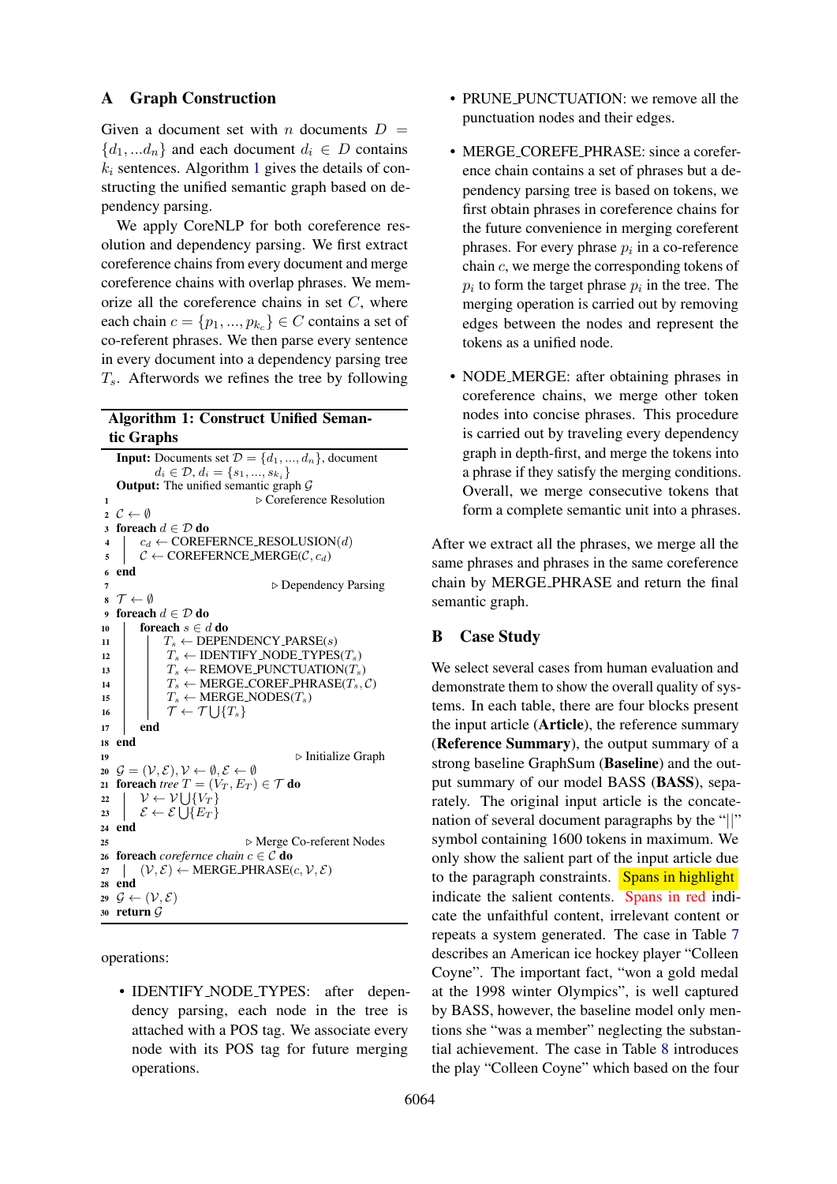### A Graph Construction

Given a document set with n documents  $D =$  ${d_1, \ldots, d_n}$  and each document  $d_i \in D$  contains  $k_i$  sentences. Algorithm [1](#page-12-0) gives the details of constructing the unified semantic graph based on dependency parsing.

We apply CoreNLP for both coreference resolution and dependency parsing. We first extract coreference chains from every document and merge coreference chains with overlap phrases. We memorize all the coreference chains in set  $C$ , where each chain  $c = \{p_1, ..., p_{k_c}\} \in C$  contains a set of co-referent phrases. We then parse every sentence in every document into a dependency parsing tree  $T_s$ . Afterwords we refines the tree by following

# Algorithm 1: Construct Unified Semantic Graphs

<span id="page-12-0"></span>**Input:** Documents set  $\mathcal{D} = \{d_1, ..., d_n\}$ , document  $d_i \in \mathcal{D}, d_i = \{s_1, ..., s_{k_i}\}$ **Output:** The unified semantic graph  $\mathcal{G}$ **D**  $\triangleright$  Coreference Resolution  $C \leftarrow \emptyset$ 3 foreach  $d \in \mathcal{D}$  do  $c_d \leftarrow \text{COREFERNCE}$ RESOLUSION(d)  $\zeta \subset \text{COREFERNCE} \text{MERGE}(\mathcal{C}, c_d)$ <sup>6</sup> end **b** Dependency Parsing  $\mathbf{s} \ \mathcal{T} \leftarrow \emptyset$ 9 foreach  $d\in \mathcal{D}$ do **foreach**  $s \in d$  do  $\vert$   $T_s \leftarrow$  DEPENDENCY\_PARSE(s)  $|T_s \leftarrow \text{IDENTIFY}\text{-}\text{NODE}\text{-}\text{TYPES}(T_s)$  $\vert$   $T_s \leftarrow$  REMOVE\_PUNCTUATION( $T_s$ )  $T_s \leftarrow \text{MERGE-COREF\_PHRASE}(T_s, \mathcal{C})$  $T_s \leftarrow \text{MERGE-NODES}(T_s)$  $\top$   $\top$   $\leftarrow$   $\mathcal{T} \cup \{T_s\}$  $17$  end <sup>18</sup> end  $\triangleright$  Initialize Graph  $\mathcal{G} = (\mathcal{V}, \mathcal{E}), \mathcal{V} \leftarrow \emptyset, \mathcal{E} \leftarrow \emptyset$ **foreach** *tree*  $T = (V_T, E_T) \in T$  **do**  $\vert \quad \mathcal{V} \leftarrow \mathcal{V} \bigcup \{V_T\}$  $\left| \quad \mathcal{E} \leftarrow \mathcal{E} \bigcup \{E_T\} \right.$ <sup>24</sup> end . Merge Co-referent Nodes **foreach** *corefernce chain*  $c \in \mathcal{C}$  **do**  $(V, \mathcal{E}) \leftarrow \text{MERGE\_PHRASE}(c, V, \mathcal{E})$ <sup>28</sup> end  $\mathcal{G} \leftarrow (\mathcal{V}, \mathcal{E})$ <sup>30</sup> return G

operations:

• IDENTIFY NODE TYPES: after dependency parsing, each node in the tree is attached with a POS tag. We associate every node with its POS tag for future merging operations.

- PRUNE PUNCTUATION: we remove all the punctuation nodes and their edges.
- MERGE\_COREFE\_PHRASE: since a coreference chain contains a set of phrases but a dependency parsing tree is based on tokens, we first obtain phrases in coreference chains for the future convenience in merging coreferent phrases. For every phrase  $p_i$  in a co-reference chain c, we merge the corresponding tokens of  $p_i$  to form the target phrase  $p_i$  in the tree. The merging operation is carried out by removing edges between the nodes and represent the tokens as a unified node.
- NODE MERGE: after obtaining phrases in coreference chains, we merge other token nodes into concise phrases. This procedure is carried out by traveling every dependency graph in depth-first, and merge the tokens into a phrase if they satisfy the merging conditions. Overall, we merge consecutive tokens that form a complete semantic unit into a phrases.

After we extract all the phrases, we merge all the same phrases and phrases in the same coreference chain by MERGE PHRASE and return the final semantic graph.

# B Case Study

We select several cases from human evaluation and demonstrate them to show the overall quality of systems. In each table, there are four blocks present the input article (Article), the reference summary (Reference Summary), the output summary of a strong baseline GraphSum (Baseline) and the output summary of our model BASS (BASS), separately. The original input article is the concatenation of several document paragraphs by the "||" symbol containing 1600 tokens in maximum. We only show the salient part of the input article due to the paragraph constraints. Spans in highlight indicate the salient contents. Spans in red indicate the unfaithful content, irrelevant content or repeats a system generated. The case in Table [7](#page-14-0) describes an American ice hockey player "Colleen Coyne". The important fact, "won a gold medal at the 1998 winter Olympics", is well captured by BASS, however, the baseline model only mentions she "was a member" neglecting the substantial achievement. The case in Table [8](#page-14-0) introduces the play "Colleen Coyne" which based on the four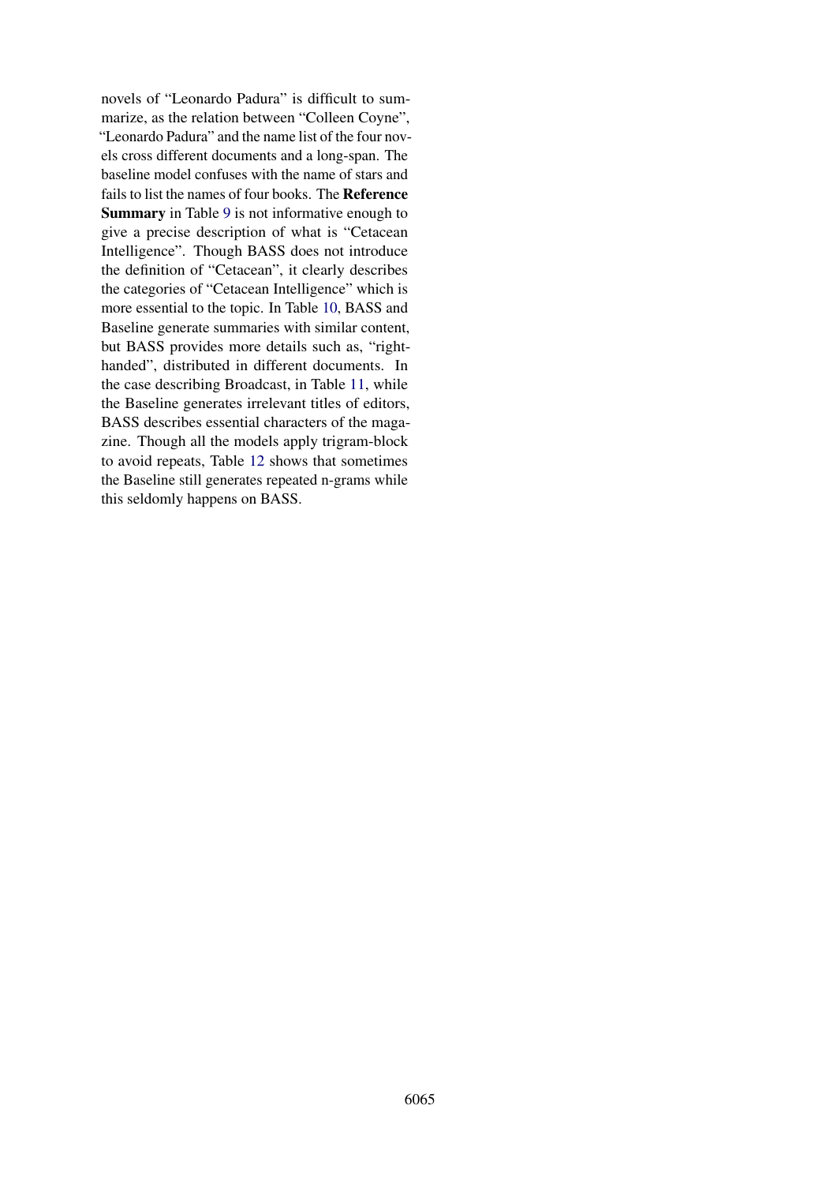novels of "Leonardo Padura" is difficult to summarize, as the relation between "Colleen Coyne", "Leonardo Padura" and the name list of the four novels cross different documents and a long-span. The baseline model confuses with the name of stars and fails to list the names of four books. The Reference Summary in Table [9](#page-14-0) is not informative enough to give a precise description of what is "Cetacean Intelligence". Though BASS does not introduce the definition of "Cetacean", it clearly describes the categories of "Cetacean Intelligence" which is more essential to the topic. In Table [10,](#page-15-0) BASS and Baseline generate summaries with similar content, but BASS provides more details such as, "righthanded", distributed in different documents. In the case describing Broadcast, in Table [11,](#page-15-0) while the Baseline generates irrelevant titles of editors, BASS describes essential characters of the magazine. Though all the models apply trigram-block to avoid repeats, Table [12](#page-15-0) shows that sometimes the Baseline still generates repeated n-grams while this seldomly happens on BASS.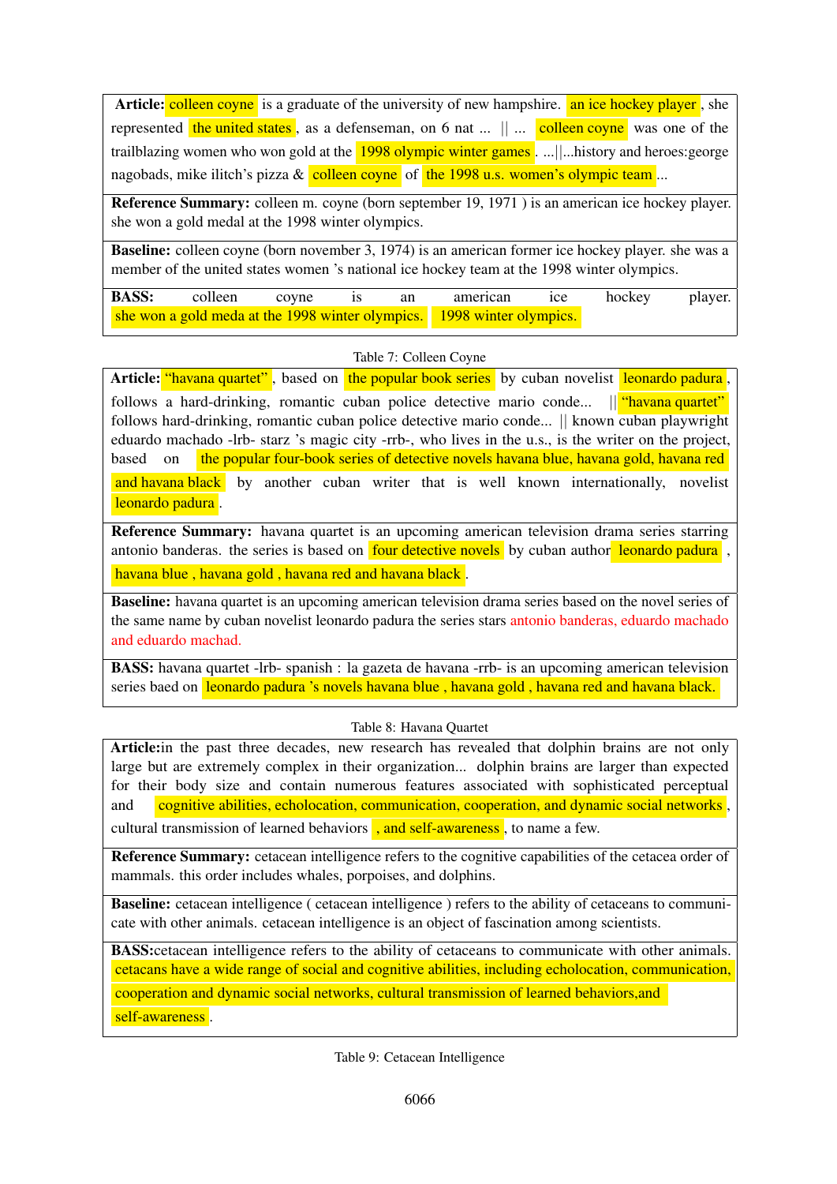<span id="page-14-0"></span>Article: colleen coyne is a graduate of the university of new hampshire. an ice hockey player, she represented the united states, as a defenseman, on 6 nat  $\ldots$   $\parallel \ldots$  colleen coyne was one of the trailblazing women who won gold at the 1998 olympic winter games . ...||...history and heroes:george nagobads, mike ilitch's pizza  $\&$  colleen coyne of the 1998 u.s. women's olympic team ...

Reference Summary: colleen m. coyne (born september 19, 1971 ) is an american ice hockey player. she won a gold medal at the 1998 winter olympics.

Baseline: colleen coyne (born november 3, 1974) is an american former ice hockey player. she was a member of the united states women 's national ice hockey team at the 1998 winter olympics.

|                                                                        | <b>BASS:</b> colleen coyne is an |  |  |  | american ice hockey player. |  |  |
|------------------------------------------------------------------------|----------------------------------|--|--|--|-----------------------------|--|--|
| she won a gold meda at the 1998 winter olympics. 1998 winter olympics. |                                  |  |  |  |                             |  |  |

## Table 7: Colleen Coyne

Article: "havana quartet", based on the popular book series by cuban novelist leonardo padura, follows a hard-drinking, romantic cuban police detective mario conde... || "havana quartet" follows hard-drinking, romantic cuban police detective mario conde... || known cuban playwright eduardo machado -lrb- starz 's magic city -rrb-, who lives in the u.s., is the writer on the project, based on the popular four-book series of detective novels havana blue, havana gold, havana red and havana black by another cuban writer that is well known internationally, novelist leonardo padura.

Reference Summary: havana quartet is an upcoming american television drama series starring antonio banderas. the series is based on **four detective novels** by cuban author leonardo padura, havana blue, havana gold, havana red and havana black.

Baseline: havana quartet is an upcoming american television drama series based on the novel series of the same name by cuban novelist leonardo padura the series stars antonio banderas, eduardo machado and eduardo machad.

BASS: havana quartet -lrb- spanish : la gazeta de havana -rrb- is an upcoming american television series baed on leonardo padura 's novels havana blue, havana gold, havana red and havana black.

### Table 8: Havana Quartet

Article: in the past three decades, new research has revealed that dolphin brains are not only large but are extremely complex in their organization... dolphin brains are larger than expected for their body size and contain numerous features associated with sophisticated perceptual and cognitive abilities, echolocation, communication, cooperation, and dynamic social networks,

cultural transmission of learned behaviors , and self-awareness, to name a few.

Reference Summary: cetacean intelligence refers to the cognitive capabilities of the cetacea order of mammals. this order includes whales, porpoises, and dolphins.

Baseline: cetacean intelligence ( cetacean intelligence ) refers to the ability of cetaceans to communicate with other animals. cetacean intelligence is an object of fascination among scientists.

BASS:cetacean intelligence refers to the ability of cetaceans to communicate with other animals. cetacans have a wide range of social and cognitive abilities, including echolocation, communication, cooperation and dynamic social networks, cultural transmission of learned behaviors,and self-awareness .